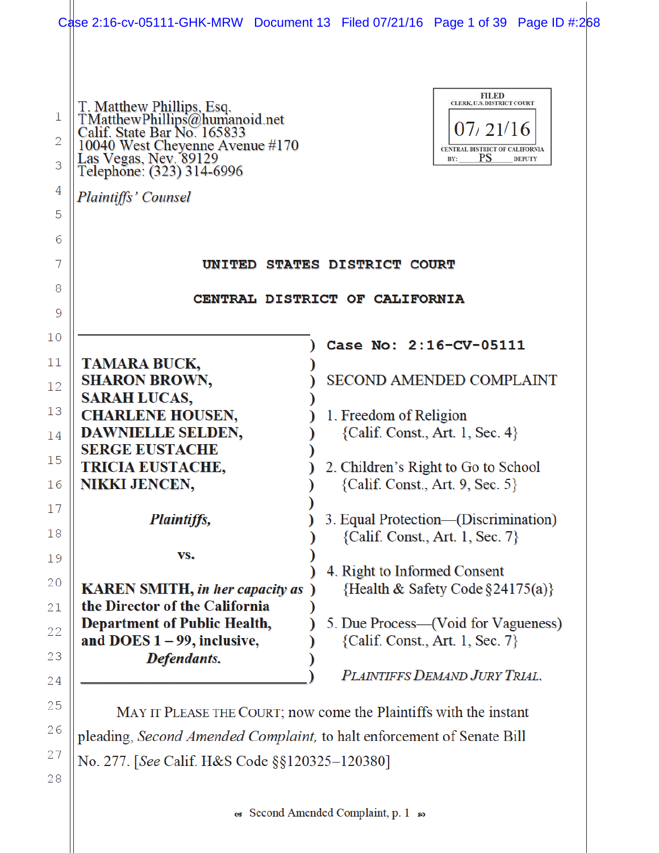|             | Case 2:16-cv-05111-GHK-MRW Document 13 Filed 07/21/16 Page 1 of 39 Page ID #:268                                                                                                    |  |                                                                       |                                                                                                       |               |
|-------------|-------------------------------------------------------------------------------------------------------------------------------------------------------------------------------------|--|-----------------------------------------------------------------------|-------------------------------------------------------------------------------------------------------|---------------|
| 1<br>2<br>3 | T. Matthew Phillips, Esq.<br>TMatthew Phillips@humanoid.net<br>Calif. State Bar No. 165833<br>10040 West Cheyenne Avenue #170<br>Las Vegas, Nev. 89129<br>Telephone: (323) 314-6996 |  |                                                                       | <b>FILED</b><br>CLERK, U.S. DISTRICT COURT<br>07/21/16<br>CENTRAL DISTRICT OF CALIFORNIA<br>PS<br>BY: | <b>DEPUTY</b> |
| 4           | Plaintiffs' Counsel                                                                                                                                                                 |  |                                                                       |                                                                                                       |               |
| 5           |                                                                                                                                                                                     |  |                                                                       |                                                                                                       |               |
| 6           |                                                                                                                                                                                     |  |                                                                       |                                                                                                       |               |
| 7           | <b>UNITED STATES DISTRICT COURT</b>                                                                                                                                                 |  |                                                                       |                                                                                                       |               |
| 8           | CENTRAL DISTRICT OF CALIFORNIA                                                                                                                                                      |  |                                                                       |                                                                                                       |               |
| 9           |                                                                                                                                                                                     |  |                                                                       |                                                                                                       |               |
| 10          |                                                                                                                                                                                     |  | Case No: 2:16-CV-05111                                                |                                                                                                       |               |
| 11          | <b>TAMARA BUCK,</b>                                                                                                                                                                 |  |                                                                       |                                                                                                       |               |
| 12          | <b>SHARON BROWN,</b>                                                                                                                                                                |  | <b>SECOND AMENDED COMPLAINT</b>                                       |                                                                                                       |               |
| 13          | <b>SARAH LUCAS,</b>                                                                                                                                                                 |  |                                                                       |                                                                                                       |               |
| 14          | <b>CHARLENE HOUSEN,</b><br>DAWNIELLE SELDEN,                                                                                                                                        |  | 1. Freedom of Religion<br>${Calif. Const., Art. 1, Sec. 4}$           |                                                                                                       |               |
|             | <b>SERGE EUSTACHE</b>                                                                                                                                                               |  |                                                                       |                                                                                                       |               |
| 15          | <b>TRICIA EUSTACHE,</b>                                                                                                                                                             |  | 2. Children's Right to Go to School                                   |                                                                                                       |               |
| 16          | <b>NIKKI JENCEN,</b>                                                                                                                                                                |  | ${Calif. Const., Art. 9, Sec. 5}$                                     |                                                                                                       |               |
| 17          | Plaintiffs,                                                                                                                                                                         |  | 3. Equal Protection—(Discrimination)                                  |                                                                                                       |               |
| 18          |                                                                                                                                                                                     |  | {Calif. Const., Art. 1, Sec. 7}                                       |                                                                                                       |               |
| 19          | VS.                                                                                                                                                                                 |  |                                                                       |                                                                                                       |               |
| 20          | <b>KAREN SMITH, in her capacity as</b> )                                                                                                                                            |  | 4. Right to Informed Consent<br>{Health & Safety Code $\S 24175(a)$ } |                                                                                                       |               |
| 21          | the Director of the California                                                                                                                                                      |  |                                                                       |                                                                                                       |               |
| 22          | <b>Department of Public Health,</b>                                                                                                                                                 |  | 5. Due Process—(Void for Vagueness)                                   |                                                                                                       |               |
|             | and DOES $1 - 99$ , inclusive,                                                                                                                                                      |  | ${Calif. Const., Art. 1, Sec. 7}$                                     |                                                                                                       |               |
| 23          | Defendants.                                                                                                                                                                         |  | PLAINTIFFS DEMAND JURY TRIAL.                                         |                                                                                                       |               |
| 24          |                                                                                                                                                                                     |  |                                                                       |                                                                                                       |               |
| 25          | MANUE DUEAGE THE COUPT: now come the Plaintiffs with the instant                                                                                                                    |  |                                                                       |                                                                                                       |               |

MAY IT PLEASE THE COURT; now come the Plaintiffs with the instant pleading, Second Amended Complaint, to halt enforcement of Senate Bill No. 277. [See Calif. H&S Code §§120325-120380]

28

 $26$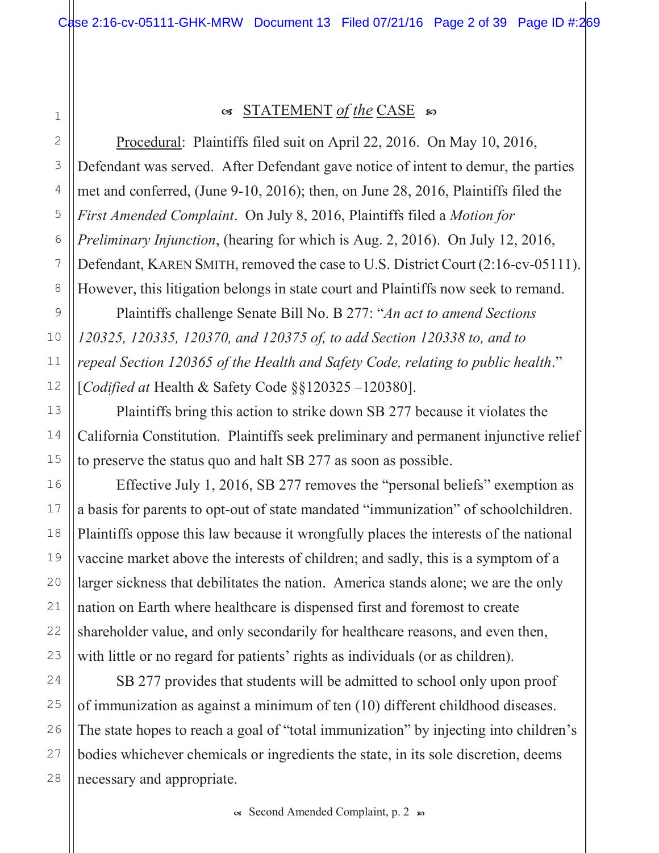# 1 2

3

4

5

6

7

8

9

10

11

12

13

14

15

16

17

18

19

20

21

22

23

24

25

26

27

28

## os STATEMENT of the CASE so

Procedural: Plaintiffs filed suit on April 22, 2016. On May 10, 2016, Defendant was served. After Defendant gave notice of intent to demur, the parties met and conferred, (June 9-10, 2016); then, on June 28, 2016, Plaintiffs filed the First Amended Complaint. On July 8, 2016, Plaintiffs filed a Motion for *Preliminary Injunction*, (hearing for which is Aug.  $2$ ,  $2016$ ). On July 12,  $2016$ , Defendant, KAREN SMITH, removed the case to U.S. District Court (2:16-cv-05111). However, this litigation belongs in state court and Plaintiffs now seek to remand.

Plaintiffs challenge Senate Bill No. B 277: "An act to amend Sections" 120325, 120335, 120370, and 120375 of, to add Section 120338 to, and to repeal Section 120365 of the Health and Safety Code, relating to public health." [Codified at Health & Safety Code  $\S$ §120325 -120380].

Plaintiffs bring this action to strike down SB 277 because it violates the California Constitution. Plaintiffs seek preliminary and permanent injunctive relief to preserve the status quo and halt SB 277 as soon as possible.

Effective July 1, 2016, SB 277 removes the "personal beliefs" exemption as a basis for parents to opt-out of state mandated "immunization" of schoolchildren. Plaintiffs oppose this law because it wrongfully places the interests of the national vaccine market above the interests of children; and sadly, this is a symptom of a larger sickness that debilitates the nation. America stands alone; we are the only nation on Earth where healthcare is dispensed first and foremost to create shareholder value, and only secondarily for healthcare reasons, and even then, with little or no regard for patients' rights as individuals (or as children).

SB 277 provides that students will be admitted to school only upon proof of immunization as against a minimum of ten  $(10)$  different childhood diseases. The state hopes to reach a goal of "total immunization" by injecting into children's bodies whichever chemicals or ingredients the state, in its sole discretion, deems necessary and appropriate.

 $\infty$  Second Amended Complaint, p. 2  $\infty$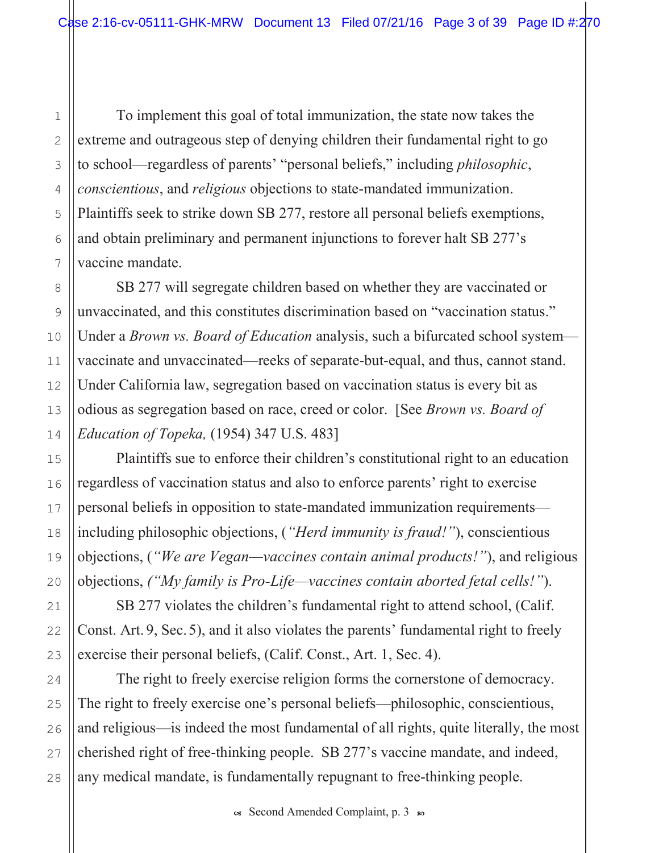To implement this goal of total immunization, the state now takes the extreme and outrageous step of denying children their fundamental right to go to school—regardless of parents' "personal beliefs," including *philosophic*, conscientious, and religious objections to state-mandated immunization. Plaintiffs seek to strike down SB 277, restore all personal beliefs exemptions, and obtain preliminary and permanent injunctions to forever halt SB  $277$ 's vaccine mandate.

SB 277 will segregate children based on whether they are vaccinated or unvaccinated, and this constitutes discrimination based on "vaccination status." Under a *Brown vs. Board of Education* analysis, such a bifurcated school system vaccinate and unvaccinated—reeks of separate-but-equal, and thus, cannot stand. Under California law, segregation based on vaccination status is every bit as odious as segregation based on race, creed or color. [See *Brown vs. Board of* Education of Topeka,  $(1954)$  347 U.S. 483]

Plaintiffs sue to enforce their children's constitutional right to an education regardless of vaccination status and also to enforce parents' right to exercise personal beliefs in opposition to state-mandated immunization requirements including philosophic objections, ("Herd immunity is fraud!"), conscientious objections, ("We are Vegan—vaccines contain animal products!"), and religious objections, ("My family is  $Pro\text{-}Life\text{---}$  vaccines contain aborted fetal cells!").

SB 277 violates the children's fundamental right to attend school, (Calif. Const. Art. 9, Sec. 5), and it also violates the parents' fundamental right to freely exercise their personal beliefs, (Calif. Const., Art. 1, Sec. 4).

The right to freely exercise religion forms the cornerstone of democracy. The right to freely exercise one's personal beliefs—philosophic, conscientious, and religious—is indeed the most fundamental of all rights, quite literally, the most cherished right of free-thinking people. SB 277's vaccine mandate, and indeed, any medical mandate, is fundamentally repugnant to free-thinking people.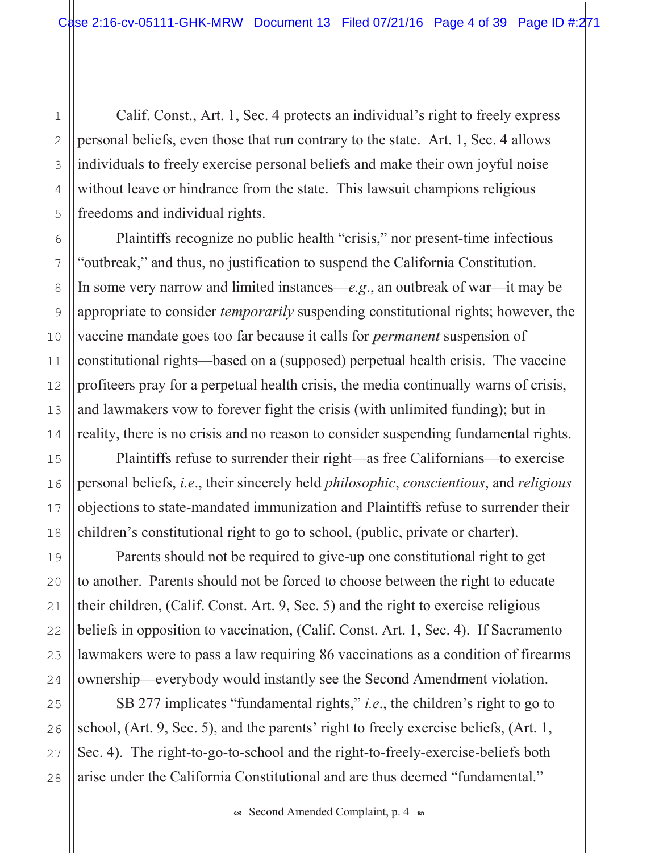Calif. Const., Art. 1, Sec. 4 protects an individual's right to freely express personal beliefs, even those that run contrary to the state. Art. 1, Sec. 4 allows individuals to freely exercise personal beliefs and make their own joyful noise without leave or hindrance from the state. This lawsuit champions religious freedoms and individual rights.

Plaintiffs recognize no public health "crisis," nor present-time infectious "outbreak," and thus, no justification to suspend the California Constitution. In some very narrow and limited instances—e.g., an outbreak of war—it may be appropriate to consider *temporarily* suspending constitutional rights; however, the vaccine mandate goes too far because it calls for *permanent* suspension of constitutional rights—based on a (supposed) perpetual health crisis. The vaccine profiteers pray for a perpetual health crisis, the media continually warns of crisis, and lawmakers vow to forever fight the crisis (with unlimited funding); but in reality, there is no crisis and no reason to consider suspending fundamental rights.

Plaintiffs refuse to surrender their right—as free Californians—to exercise personal beliefs, *i.e.*, their sincerely held *philosophic*, *conscientious*, and *religious* objections to state-mandated immunization and Plaintiffs refuse to surrender their children's constitutional right to go to school, (public, private or charter).

Parents should not be required to give-up one constitutional right to get to another. Parents should not be forced to choose between the right to educate their children, (Calif. Const. Art. 9, Sec. 5) and the right to exercise religious beliefs in opposition to vaccination, (Calif. Const. Art. 1, Sec. 4). If Sacramento lawmakers were to pass a law requiring 86 vaccinations as a condition of firearms ownership—everybody would instantly see the Second Amendment violation.

SB 277 implicates "fundamental rights," *i.e.*, the children's right to go to school, (Art. 9, Sec. 5), and the parents' right to freely exercise beliefs, (Art. 1, Sec. 4). The right-to-go-to-school and the right-to-freely-exercise-beliefs both arise under the California Constitutional and are thus deemed "fundamental."

 $\mathbf{1}$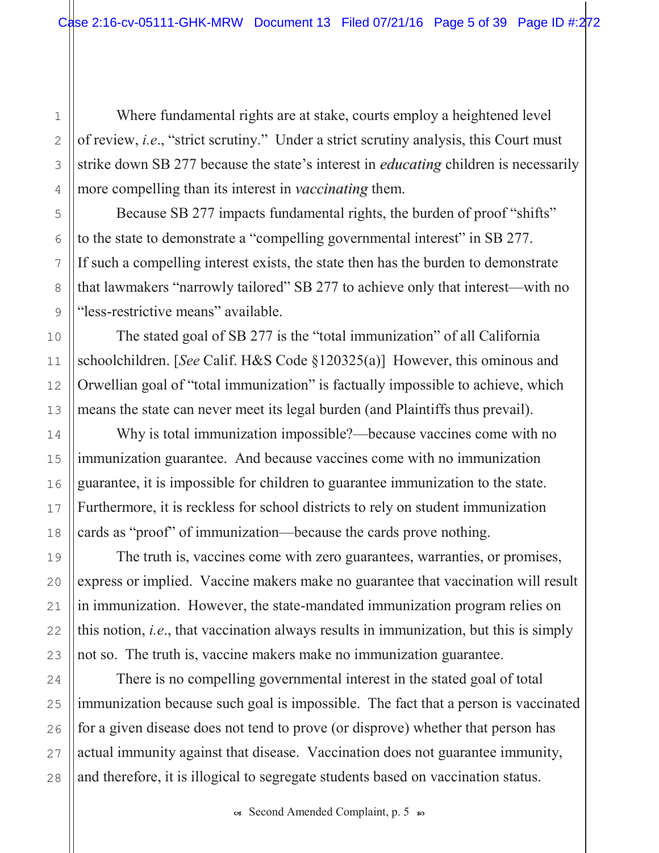Where fundamental rights are at stake, courts employ a heightened level of review, *i.e.*, "strict scrutiny." Under a strict scrutiny analysis, this Court must strike down SB 277 because the state's interest in *educating* children is necessarily more compelling than its interest in *vaccinating* them.

Because SB 277 impacts fundamental rights, the burden of proof "shifts" to the state to demonstrate a "compelling governmental interest" in SB 277. If such a compelling interest exists, the state then has the burden to demonstrate that lawmakers "narrowly tailored" SB 277 to achieve only that interest—with no "less-restrictive means" available.

The stated goal of SB 277 is the "total immunization" of all California schoolchildren. [See Calif. H&S Code  $\S 120325(a)$ ] However, this ominous and Orwellian goal of "total immunization" is factually impossible to achieve, which means the state can never meet its legal burden (and Plaintiffs thus prevail).

Why is total immunization impossible?—because vaccines come with no immunization guarantee. And because vaccines come with no immunization guarantee, it is impossible for children to guarantee immunization to the state. Furthermore, it is reckless for school districts to rely on student immunization cards as "proof" of immunization—because the cards prove nothing.

The truth is, vaccines come with zero guarantees, warranties, or promises, express or implied. Vaccine makers make no guarantee that vaccination will result in immunization. However, the state-mandated immunization program relies on this notion, *i.e.*, that vaccination always results in immunization, but this is simply not so. The truth is, vaccine makers make no immunization guarantee.

There is no compelling governmental interest in the stated goal of total immunization because such goal is impossible. The fact that a person is vaccinated for a given disease does not tend to prove (or disprove) whether that person has actual immunity against that disease. Vaccination does not guarantee immunity, and therefore, it is illogical to segregate students based on vaccination status.

1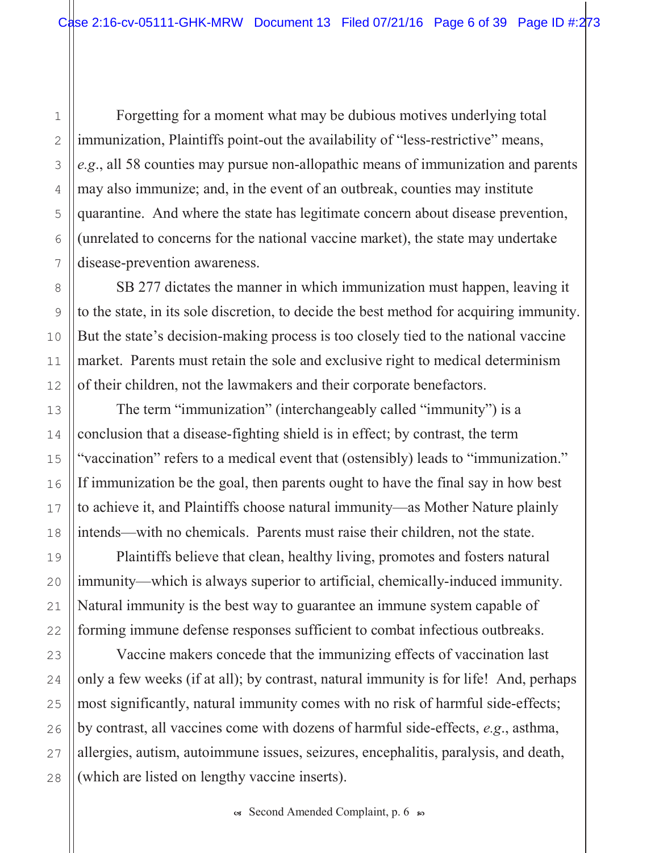Forgetting for a moment what may be dubious motives underlying total immunization, Plaintiffs point-out the availability of "less-restrictive" means,  $e.g.,$  all 58 counties may pursue non-allopathic means of immunization and parents may also immunize; and, in the event of an outbreak, counties may institute quarantine. And where the state has legitimate concern about disease prevention, (unrelated to concerns for the national vaccine market), the state may undertake disease-prevention awareness.

SB 277 dictates the manner in which immunization must happen, leaving it to the state, in its sole discretion, to decide the best method for acquiring immunity. But the state's decision-making process is too closely tied to the national vaccine market. Parents must retain the sole and exclusive right to medical determinism of their children, not the lawmakers and their corporate benefactors.

The term "immunization" (interchangeably called "immunity") is a conclusion that a disease-fighting shield is in effect; by contrast, the term "vaccination" refers to a medical event that (ostensibly) leads to "immunization." If immunization be the goal, then parents ought to have the final say in how best to achieve it, and Plaintiffs choose natural immunity—as Mother Nature plainly intends—with no chemicals. Parents must raise their children, not the state.

Plaintiffs believe that clean, healthy living, promotes and fosters natural immunity—which is always superior to artificial, chemically-induced immunity. Natural immunity is the best way to guarantee an immune system capable of forming immune defense responses sufficient to combat infectious outbreaks.

Vaccine makers concede that the immunizing effects of vaccination last only a few weeks (if at all); by contrast, natural immunity is for life! And, perhaps most significantly, natural immunity comes with no risk of harmful side-effects; by contrast, all vaccines come with dozens of harmful side-effects,  $e.g.,$  asthma, allergies, autism, autoimmune issues, seizures, encephalitis, paralysis, and death, (which are listed on lengthy vaccine inserts).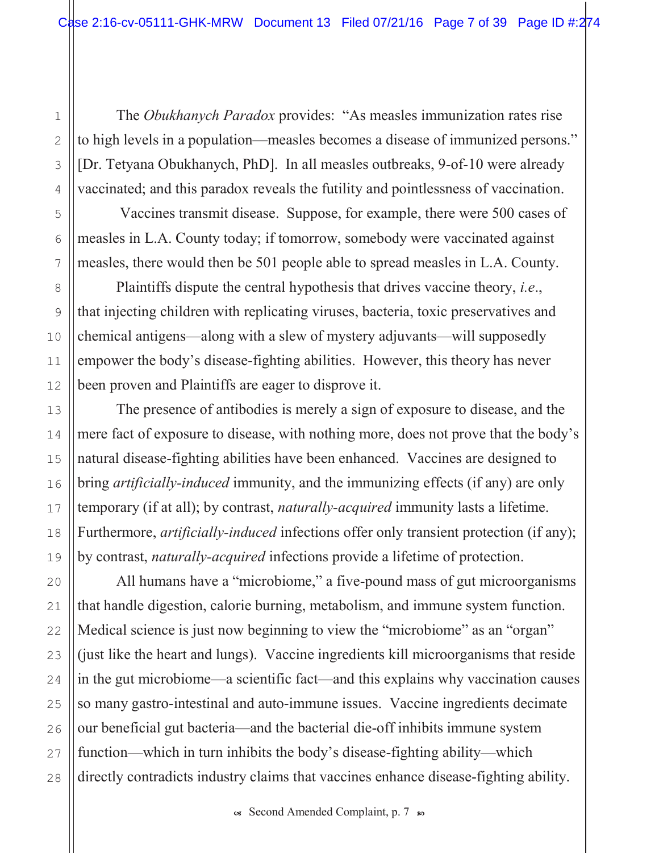The Obukhanych Paradox provides: "As measles immunization rates rise" to high levels in a population—measles becomes a disease of immunized persons." [Dr. Tetyana Obukhanych, PhD]. In all measles outbreaks, 9-of-10 were already vaccinated; and this paradox reveals the futility and pointlessness of vaccination.

Vaccines transmit disease. Suppose, for example, there were 500 cases of measles in L.A. County today; if tomorrow, somebody were vaccinated against measles, there would then be 501 people able to spread measles in L.A. County.

Plaintiffs dispute the central hypothesis that drives vaccine theory, *i.e.*, that injecting children with replicating viruses, bacteria, toxic preservatives and chemical antigens—along with a slew of mystery adjuvants—will supposedly empower the body's disease-fighting abilities. However, this theory has never been proven and Plaintiffs are eager to disprove it.

The presence of antibodies is merely a sign of exposure to disease, and the mere fact of exposure to disease, with nothing more, does not prove that the body's natural disease-fighting abilities have been enhanced. Vaccines are designed to bring *artificially-induced* immunity, and the immunizing effects (if any) are only temporary (if at all); by contrast, *naturally-acquired* immunity lasts a lifetime. Furthermore, *artificially-induced* infections offer only transient protection (if any); by contrast, *naturally-acquired* infections provide a lifetime of protection.

All humans have a "microbiome," a five-pound mass of gut microorganisms that handle digestion, calorie burning, metabolism, and immune system function. Medical science is just now beginning to view the "microbiome" as an "organ" (just like the heart and lungs). Vaccine ingredients kill microorganisms that reside in the gut microbiome—a scientific fact—and this explains why vaccination causes so many gastro-intestinal and auto-immune issues. Vaccine ingredients decimate our beneficial gut bacteria—and the bacterial die-off inhibits immune system function—which in turn inhibits the body's disease-fighting ability—which directly contradicts industry claims that vaccines enhance disease-fighting ability.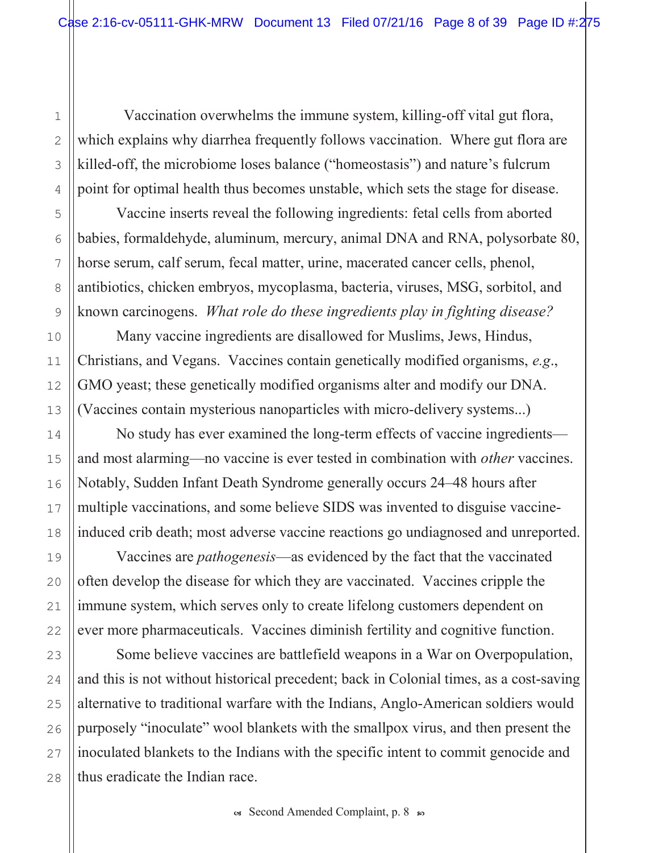Vaccination overwhelms the immune system, killing-off vital gut flora, which explains why diarrhea frequently follows vaccination. Where gut flora are killed-off, the microbiome loses balance ("homeostasis") and nature's fulcrum point for optimal health thus becomes unstable, which sets the stage for disease.

Vaccine inserts reveal the following ingredients: fetal cells from aborted babies, formaldehyde, aluminum, mercury, animal DNA and RNA, polysorbate 80, horse serum, calf serum, fecal matter, urine, macerated cancer cells, phenol, antibiotics, chicken embryos, mycoplasma, bacteria, viruses, MSG, sorbitol, and known carcinogens. What role do these ingredients play in fighting disease?

Many vaccine ingredients are disallowed for Muslims, Jews, Hindus, Christians, and Vegans. Vaccines contain genetically modified organisms, e.g., GMO yeast; these genetically modified organisms alter and modify our DNA. (Vaccines contain mysterious nanoparticles with micro-delivery systems...)

No study has ever examined the long-term effects of vaccine ingredients and most alarming—no vaccine is ever tested in combination with *other* vaccines. Notably, Sudden Infant Death Syndrome generally occurs 24–48 hours after multiple vaccinations, and some believe SIDS was invented to disguise vaccineinduced crib death; most adverse vaccine reactions go undiagnosed and unreported.

Vaccines are *pathogenesis*—as evidenced by the fact that the vaccinated often develop the disease for which they are vaccinated. Vaccines cripple the immune system, which serves only to create lifelong customers dependent on ever more pharmaceuticals. Vaccines diminish fertility and cognitive function.

Some believe vaccines are battlefield weapons in a War on Overpopulation, and this is not without historical precedent; back in Colonial times, as a cost-saving alternative to traditional warfare with the Indians, Anglo-American soldiers would purposely "inoculate" wool blankets with the smallpox virus, and then present the inoculated blankets to the Indians with the specific intent to commit genocide and thus eradicate the Indian race.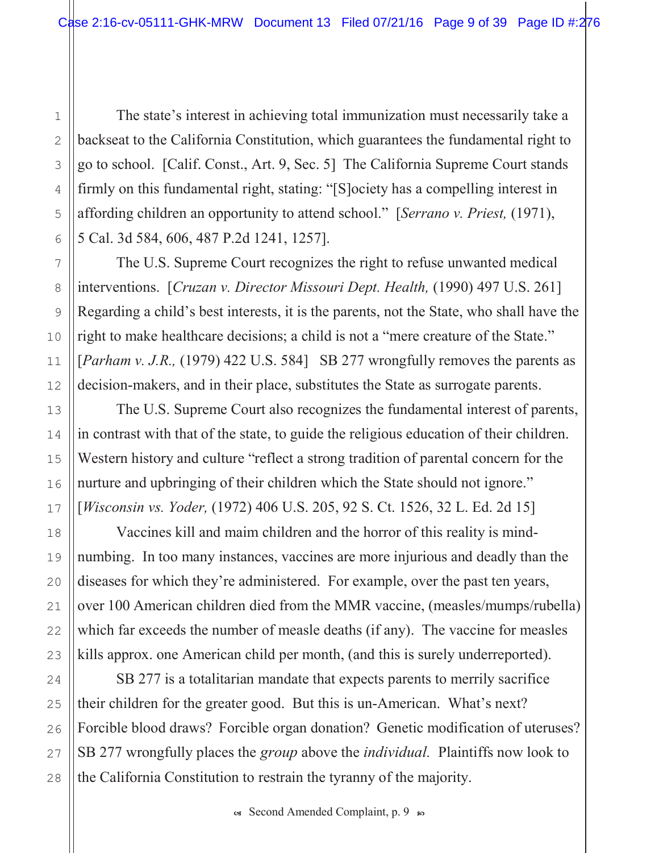The state's interest in achieving total immunization must necessarily take a backseat to the California Constitution, which guarantees the fundamental right to go to school. [Calif. Const., Art. 9, Sec. 5] The California Supreme Court stands firmly on this fundamental right, stating: "[S]ociety has a compelling interest in affording children an opportunity to attend school." [Serrano v. Priest,  $(1971)$ , 5 Cal. 3d 584, 606, 487 P.2d 1241, 1257].

The U.S. Supreme Court recognizes the right to refuse unwanted medical interventions. [Cruzan v. Director Missouri Dept. Health, (1990) 497 U.S. 261] Regarding a child's best interests, it is the parents, not the State, who shall have the right to make healthcare decisions; a child is not a "mere creature of the State." [*Parham v. J.R.*, (1979) 422 U.S. 584] SB 277 wrongfully removes the parents as decision-makers, and in their place, substitutes the State as surrogate parents.

The U.S. Supreme Court also recognizes the fundamental interest of parents, in contrast with that of the state, to guide the religious education of their children. Western history and culture "reflect a strong tradition of parental concern for the nurture and upbringing of their children which the State should not ignore." [Wisconsin vs. Yoder, (1972) 406 U.S. 205, 92 S. Ct. 1526, 32 L. Ed. 2d 15]

Vaccines kill and maim children and the horror of this reality is mindnumbing. In too many instances, vaccines are more injurious and deadly than the diseases for which they're administered. For example, over the past ten years, over 100 American children died from the MMR vaccine, (measles/mumps/rubella) which far exceeds the number of measle deaths (if any). The vaccine for measles kills approx, one American child per month, (and this is surely underreported).

SB 277 is a totalitarian mandate that expects parents to merrily sacrifice their children for the greater good. But this is un-American. What's next? Forcible blood draws? Forcible organ donation? Genetic modification of uteruses? SB 277 wrongfully places the *group* above the *individual*. Plaintiffs now look to the California Constitution to restrain the tyranny of the majority.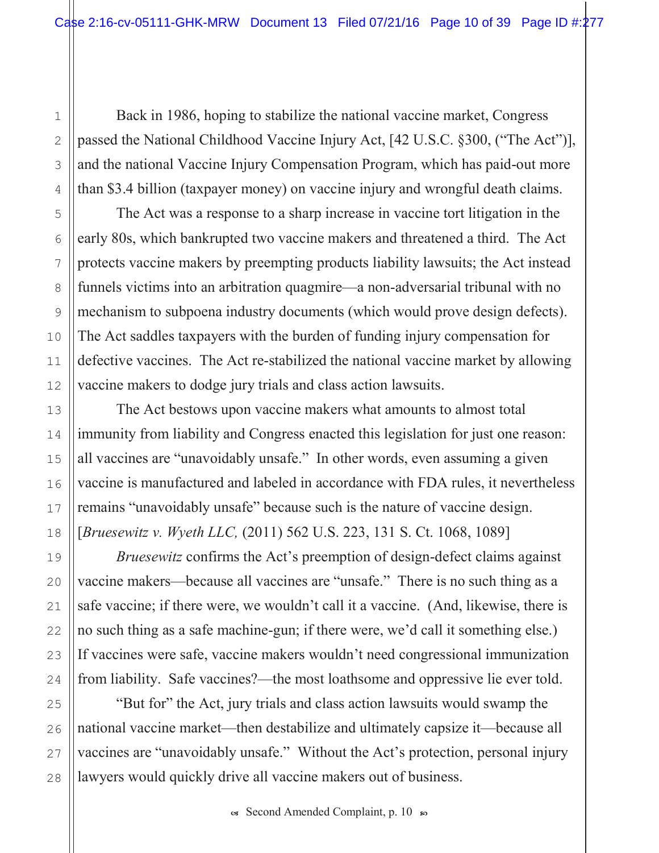Back in 1986, hoping to stabilize the national vaccine market, Congress passed the National Childhood Vaccine Injury Act, [42 U.S.C. §300, ("The Act")], and the national Vaccine Injury Compensation Program, which has paid-out more than \$3.4 billion (taxpayer money) on vaccine injury and wrongful death claims.

The Act was a response to a sharp increase in vaccine tort litigation in the early 80s, which bankrupted two vaccine makers and threatened a third. The Act protects vaccine makers by preempting products liability lawsuits; the Act instead funnels victims into an arbitration quagmire—a non-adversarial tribunal with no mechanism to subpoena industry documents (which would prove design defects). The Act saddles taxpayers with the burden of funding injury compensation for defective vaccines. The Act re-stabilized the national vaccine market by allowing vaccine makers to dodge jury trials and class action lawsuits.

The Act bestows upon vaccine makers what amounts to almost total immunity from liability and Congress enacted this legislation for just one reason: all vaccines are "unavoidably unsafe." In other words, even assuming a given vaccine is manufactured and labeled in accordance with FDA rules, it nevertheless remains "unavoidably unsafe" because such is the nature of vaccine design. [Bruesewitz v. Wyeth LLC,  $(2011)$  562 U.S. 223, 131 S. Ct. 1068, 1089]

Bruesewitz confirms the Act's preemption of design-defect claims against vaccine makers—because all vaccines are "unsafe." There is no such thing as a safe vaccine; if there were, we wouldn't call it a vaccine. (And, likewise, there is no such thing as a safe machine-gun; if there were, we'd call it something else.) If vaccines were safe, vaccine makers wouldn't need congressional immunization from liability. Safe vaccines?—the most loathsome and oppressive lie ever told.

"But for" the Act, jury trials and class action lawsuits would swamp the national vaccine market—then destabilize and ultimately capsize it—because all vaccines are "unavoidably unsafe." Without the Act's protection, personal injury lawyers would quickly drive all vaccine makers out of business.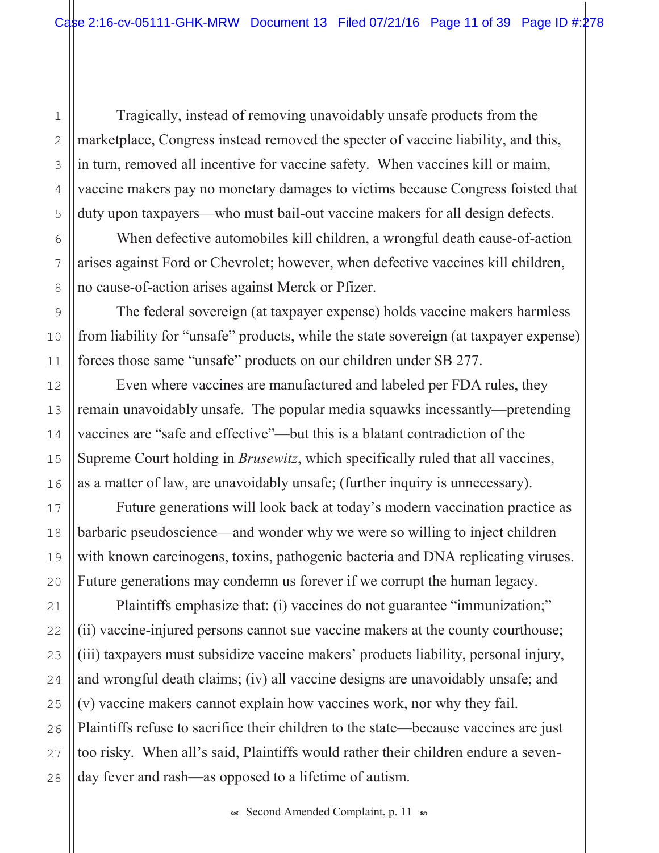Tragically, instead of removing unavoidably unsafe products from the marketplace, Congress instead removed the specter of vaccine liability, and this, in turn, removed all incentive for vaccine safety. When vaccines kill or maim, vaccine makers pay no monetary damages to victims because Congress foisted that duty upon taxpayers—who must bail-out vaccine makers for all design defects.

When defective automobiles kill children, a wrongful death cause-of-action arises against Ford or Chevrolet; however, when defective vaccines kill children, no cause-of-action arises against Merck or Pfizer.

The federal sovereign (at taxpayer expense) holds vaccine makers harmless from liability for "unsafe" products, while the state sovereign (at taxpayer expense) forces those same "unsafe" products on our children under SB 277.

Even where vaccines are manufactured and labeled per FDA rules, they remain unavoidably unsafe. The popular media squawks incessantly—pretending vaccines are "safe and effective"—but this is a blatant contradiction of the Supreme Court holding in *Brusewitz*, which specifically ruled that all vaccines, as a matter of law, are unavoidably unsafe; (further inquiry is unnecessary).

Future generations will look back at today's modern vaccination practice as barbaric pseudoscience—and wonder why we were so willing to inject children with known carcinogens, toxins, pathogenic bacteria and DNA replicating viruses. Future generations may condemn us forever if we corrupt the human legacy.

Plaintiffs emphasize that: (i) vaccines do not guarantee "immunization;" (ii) vaccine-injured persons cannot sue vaccine makers at the county courthouse; (iii) taxpayers must subsidize vaccine makers' products liability, personal injury, and wrongful death claims; (iv) all vaccine designs are unavoidably unsafe; and  $(v)$  vaccine makers cannot explain how vaccines work, nor why they fail. Plaintiffs refuse to sacrifice their children to the state—because vaccines are just too risky. When all's said, Plaintiffs would rather their children endure a sevenday fever and rash—as opposed to a lifetime of autism.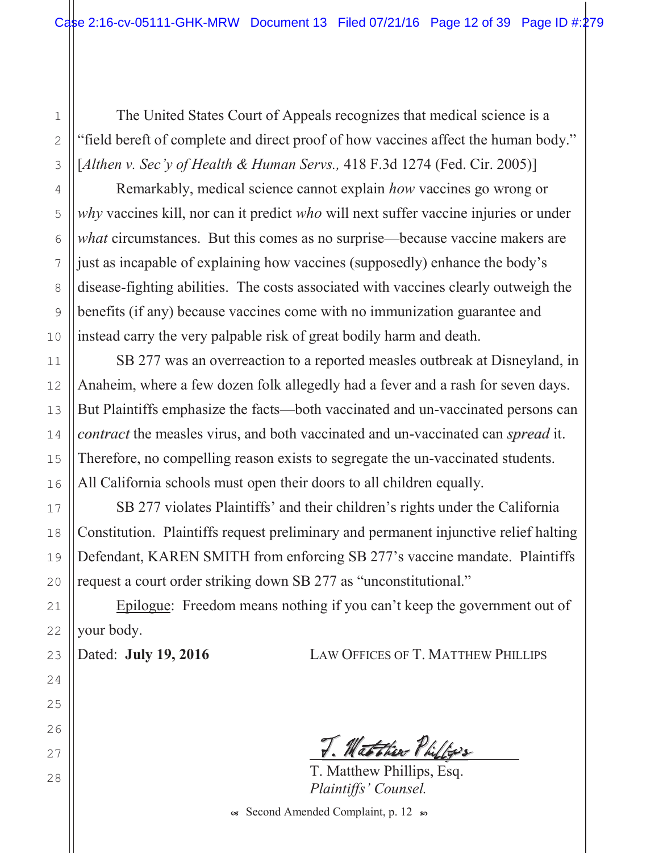The United States Court of Appeals recognizes that medical science is a "field bereft of complete and direct proof of how vaccines affect the human body." [Althen v. Sec'y of Health & Human Servs., 418 F.3d 1274 (Fed. Cir. 2005)]

Remarkably, medical science cannot explain how vaccines go wrong or why vaccines kill, nor can it predict who will next suffer vaccine injuries or under what circumstances. But this comes as no surprise—because vaccine makers are just as incapable of explaining how vaccines (supposedly) enhance the body's disease-fighting abilities. The costs associated with vaccines clearly outweigh the benefits (if any) because vaccines come with no immunization guarantee and instead carry the very palpable risk of great bodily harm and death.

SB 277 was an overreaction to a reported measles outbreak at Disneyland, in Anaheim, where a few dozen folk allegedly had a fever and a rash for seven days. But Plaintiffs emphasize the facts—both vaccinated and un-vaccinated persons can contract the measles virus, and both vaccinated and un-vaccinated can spread it. Therefore, no compelling reason exists to segregate the un-vaccinated students. All California schools must open their doors to all children equally.

SB 277 violates Plaintiffs' and their children's rights under the California Constitution. Plaintiffs request preliminary and permanent injunctive relief halting Defendant, KAREN SMITH from enforcing SB 277's vaccine mandate. Plaintiffs request a court order striking down SB 277 as "unconstitutional."

Epilogue: Freedom means nothing if you can't keep the government out of your body.

Dated: July 19, 2016

**LAW OFFICES OF T. MATTHEW PHILLIPS** 

T. Matthew Philips

T. Matthew Phillips, Esq. Plaintiffs' Counsel.

Ges Second Amended Complaint, p. 12 so

 $\mathbf{1}$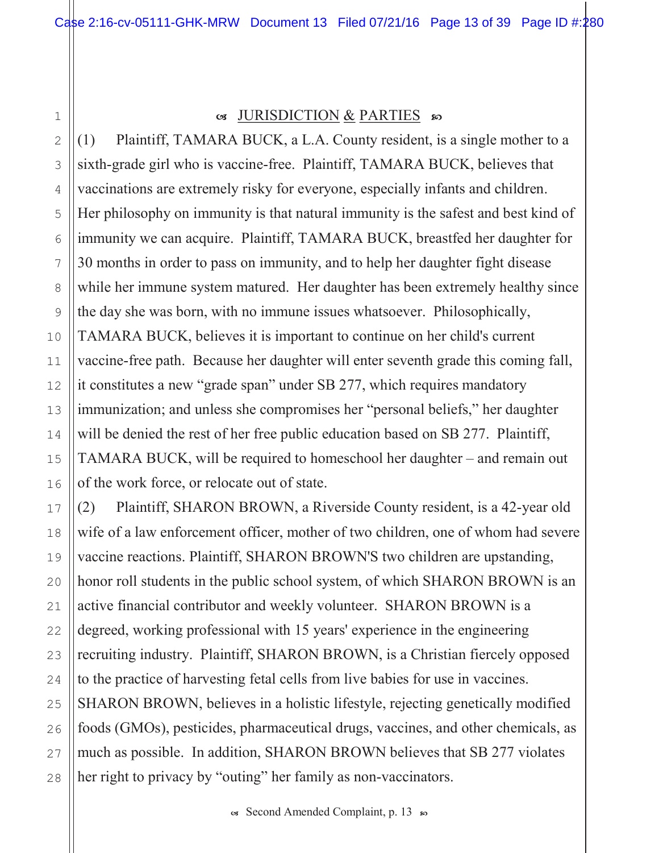$\mathbf 1$ 

 $\overline{2}$ 

3

4

5

6

7

8

9

10

 $11$ 

 $12$ 

13

 $14$ 

15

16

17

18

19

20

 $21$ 

22

23

24

25

26

27

28

### G JURISDICTION & PARTIES SO

Plaintiff, TAMARA BUCK, a L.A. County resident, is a single mother to a  $(1)$ sixth-grade girl who is vaccine-free. Plaintiff, TAMARA BUCK, believes that vaccinations are extremely risky for everyone, especially infants and children. Her philosophy on immunity is that natural immunity is the safest and best kind of immunity we can acquire. Plaintiff, TAMARA BUCK, breastfed her daughter for 30 months in order to pass on immunity, and to help her daughter fight disease while her immune system matured. Her daughter has been extremely healthy since the day she was born, with no immune issues whatsoever. Philosophically, TAMARA BUCK, believes it is important to continue on her child's current vaccine-free path. Because her daughter will enter seventh grade this coming fall, it constitutes a new "grade span" under SB 277, which requires mandatory immunization; and unless she compromises her "personal beliefs," her daughter will be denied the rest of her free public education based on SB 277. Plaintiff, TAMARA BUCK, will be required to homeschool her daughter – and remain out of the work force, or relocate out of state.

Plaintiff, SHARON BROWN, a Riverside County resident, is a 42-year old  $(2)$ wife of a law enforcement officer, mother of two children, one of whom had severe vaccine reactions. Plaintiff, SHARON BROWN'S two children are upstanding, honor roll students in the public school system, of which SHARON BROWN is an active financial contributor and weekly volunteer. SHARON BROWN is a degreed, working professional with 15 years' experience in the engineering recruiting industry. Plaintiff, SHARON BROWN, is a Christian fiercely opposed to the practice of harvesting fetal cells from live babies for use in vaccines. SHARON BROWN, believes in a holistic lifestyle, rejecting genetically modified foods (GMOs), pesticides, pharmaceutical drugs, vaccines, and other chemicals, as much as possible. In addition, SHARON BROWN believes that SB 277 violates her right to privacy by "outing" her family as non-vaccinators.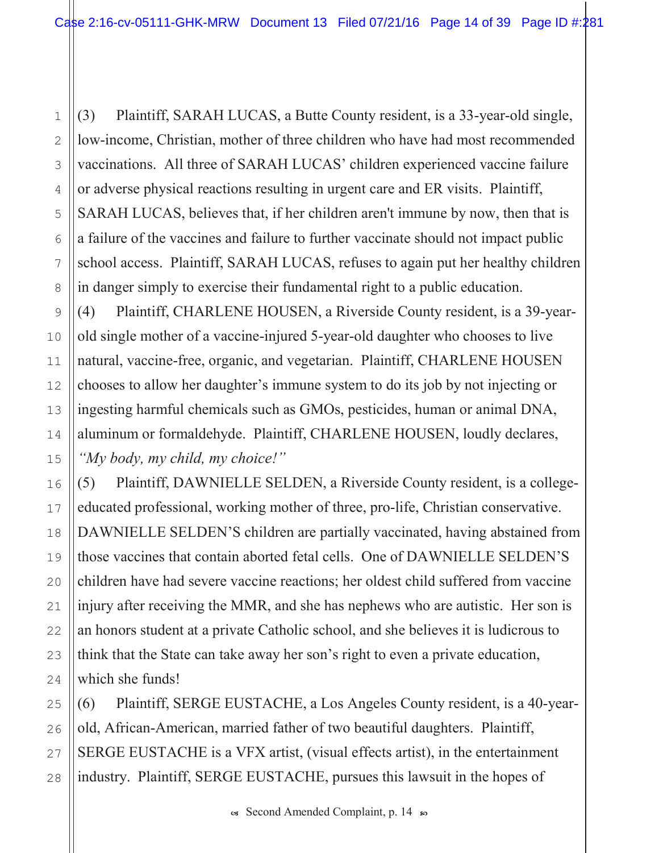Plaintiff, SARAH LUCAS, a Butte County resident, is a 33-year-old single,  $(3)$ low-income, Christian, mother of three children who have had most recommended vaccinations. All three of SARAH LUCAS' children experienced vaccine failure or adverse physical reactions resulting in urgent care and ER visits. Plaintiff, SARAH LUCAS, believes that, if her children aren't immune by now, then that is a failure of the vaccines and failure to further vaccinate should not impact public school access. Plaintiff, SARAH LUCAS, refuses to again put her healthy children in danger simply to exercise their fundamental right to a public education.

 $(4)$ Plaintiff, CHARLENE HOUSEN, a Riverside County resident, is a 39-yearold single mother of a vaccine-injured 5-year-old daughter who chooses to live natural, vaccine-free, organic, and vegetarian. Plaintiff, CHARLENE HOUSEN chooses to allow her daughter's immune system to do its job by not injecting or ingesting harmful chemicals such as GMOs, pesticides, human or animal DNA, aluminum or formaldehyde. Plaintiff, CHARLENE HOUSEN, loudly declares, "My body, my child, my choice!"

Plaintiff, DAWNIELLE SELDEN, a Riverside County resident, is a college- $(5)$ educated professional, working mother of three, pro-life, Christian conservative. DAWNIELLE SELDEN'S children are partially vaccinated, having abstained from those vaccines that contain aborted fetal cells. One of DAWNIELLE SELDEN'S children have had severe vaccine reactions; her oldest child suffered from vaccine injury after receiving the MMR, and she has nephews who are autistic. Her son is an honors student at a private Catholic school, and she believes it is ludicrous to think that the State can take away her son's right to even a private education, which she funds!

Plaintiff, SERGE EUSTACHE, a Los Angeles County resident, is a 40-year- $(6)$ old, African-American, married father of two beautiful daughters. Plaintiff, SERGE EUSTACHE is a VFX artist, (visual effects artist), in the entertainment industry. Plaintiff, SERGE EUSTACHE, pursues this lawsuit in the hopes of

os Second Amended Complaint, p. 14 so

 $\mathbf{1}$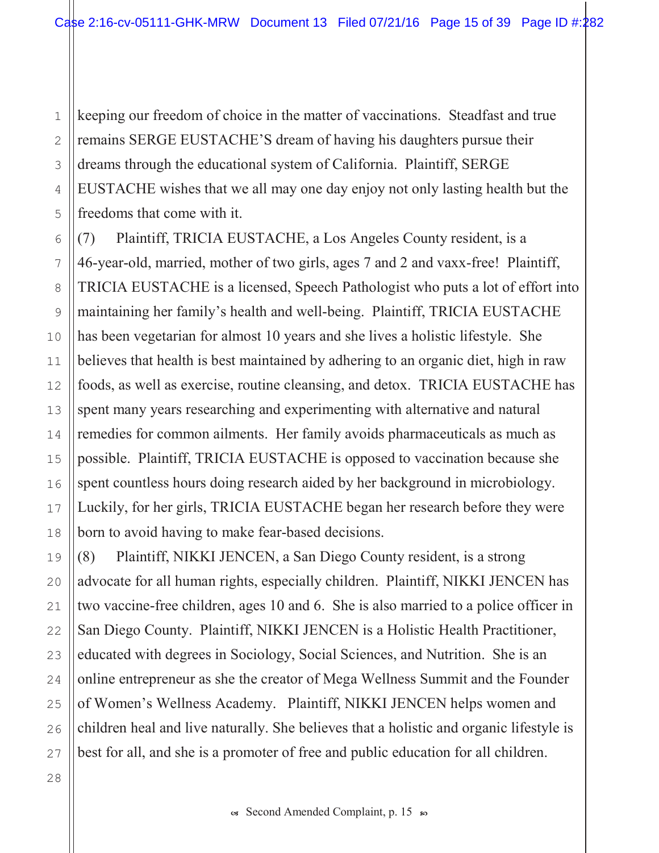keeping our freedom of choice in the matter of vaccinations. Steadfast and true  $\mathbf{1}$ remains SERGE EUSTACHE'S dream of having his daughters pursue their  $\overline{2}$ dreams through the educational system of California. Plaintiff, SERGE 3 EUSTACHE wishes that we all may one day enjoy not only lasting health but the 4 freedoms that come with it. 5

 $(7)$ Plaintiff, TRICIA EUSTACHE, a Los Angeles County resident, is a 46-year-old, married, mother of two girls, ages 7 and 2 and vaxx-free! Plaintiff, TRICIA EUSTACHE is a licensed, Speech Pathologist who puts a lot of effort into maintaining her family's health and well-being. Plaintiff, TRICIA EUSTACHE has been vegetarian for almost 10 years and she lives a holistic lifestyle. She believes that health is best maintained by adhering to an organic diet, high in raw foods, as well as exercise, routine cleansing, and detox. TRICIA EUSTACHE has spent many years researching and experimenting with alternative and natural remedies for common ailments. Her family avoids pharmaceuticals as much as possible. Plaintiff, TRICIA EUSTACHE is opposed to vaccination because she spent countless hours doing research aided by her background in microbiology. Luckily, for her girls, TRICIA EUSTACHE began her research before they were born to avoid having to make fear-based decisions.

 $(8)$ Plaintiff, NIKKI JENCEN, a San Diego County resident, is a strong advocate for all human rights, especially children. Plaintiff, NIKKI JENCEN has two vaccine-free children, ages 10 and 6. She is also married to a police officer in San Diego County. Plaintiff, NIKKI JENCEN is a Holistic Health Practitioner, educated with degrees in Sociology, Social Sciences, and Nutrition. She is an online entrepreneur as she the creator of Mega Wellness Summit and the Founder of Women's Wellness Academy. Plaintiff, NIKKI JENCEN helps women and children heal and live naturally. She believes that a holistic and organic lifestyle is best for all, and she is a promoter of free and public education for all children.

6

 $7$ 

8

9

10

 $11$ 

 $12$ 

13

14

15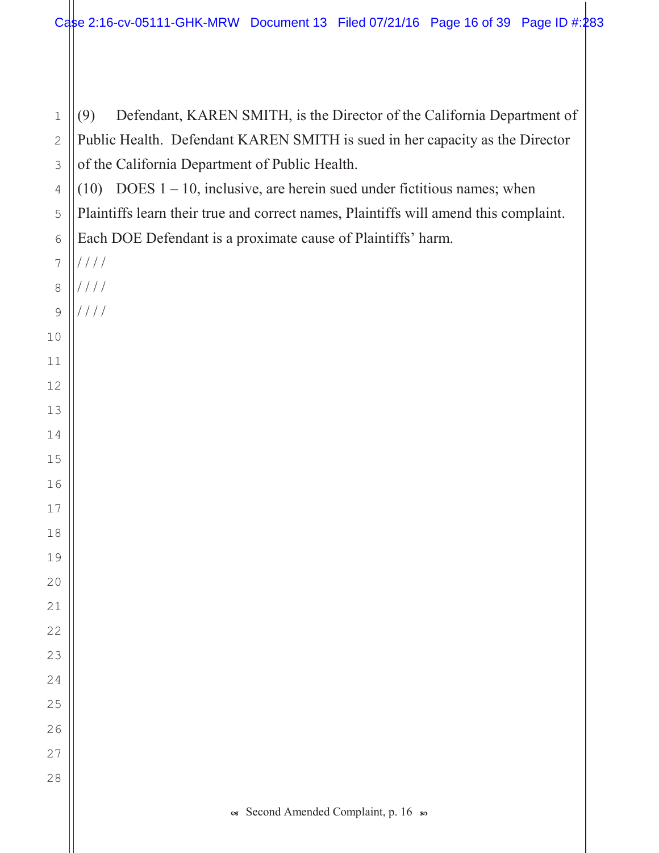$\infty$  Second Amended Complaint, p. 16  $\infty$  (9) Defendant, KAREN SMITH, is the Director of the California Department of Public Health. Defendant KAREN SMITH is sued in her capacity as the Director of the California Department of Public Health. (10) DOES  $1 - 10$ , inclusive, are herein sued under fictitious names; when Plaintiffs learn their true and correct names, Plaintiffs will amend this complaint. Each DOE Defendant is a proximate cause of Plaintiffs' harm.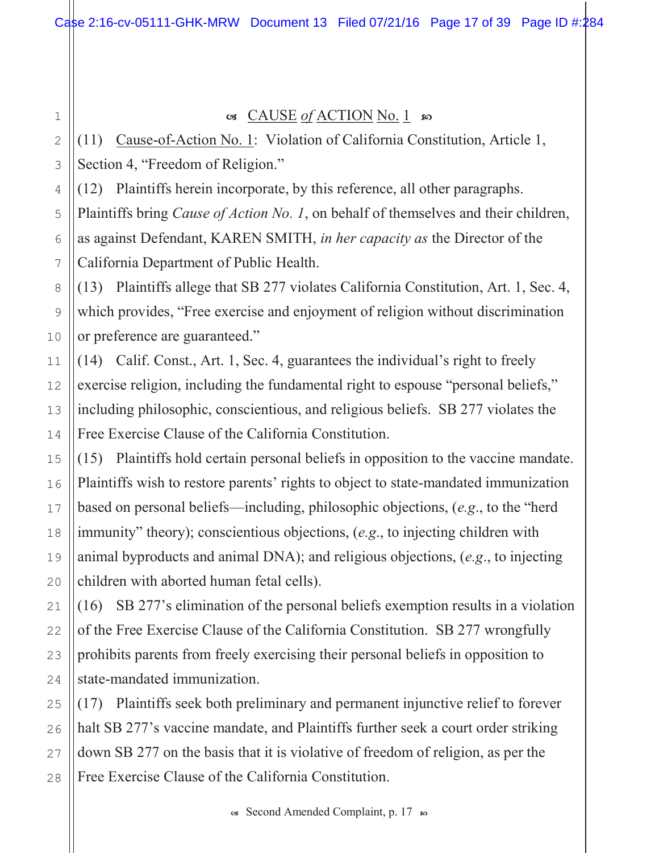$\mathbf 1$ 

## G CAUSE of ACTION No. 1 80

(11) Cause-of-Action No. 1: Violation of California Constitution, Article 1, Section 4, "Freedom of Religion."

(12) Plaintiffs herein incorporate, by this reference, all other paragraphs. Plaintiffs bring *Cause of Action No. 1*, on behalf of themselves and their children, as against Defendant, KAREN SMITH, *in her capacity as* the Director of the California Department of Public Health.

(13) Plaintiffs allege that SB 277 violates California Constitution, Art. 1, Sec. 4, which provides, "Free exercise and enjoyment of religion without discrimination or preference are guaranteed."

(14) Calif. Const., Art. 1, Sec. 4, guarantees the individual's right to freely exercise religion, including the fundamental right to espouse "personal beliefs," including philosophic, conscientious, and religious beliefs. SB 277 violates the Free Exercise Clause of the California Constitution.

(15) Plaintiffs hold certain personal beliefs in opposition to the vaccine mandate. Plaintiffs wish to restore parents' rights to object to state-mandated immunization based on personal beliefs—including, philosophic objections,  $(e.g., to the "herd")$ immunity" theory); conscientious objections, (e.g., to injecting children with animal byproducts and animal DNA); and religious objections,  $(e.g., to injecting)$ children with aborted human fetal cells).

(16) SB 277's elimination of the personal beliefs exemption results in a violation of the Free Exercise Clause of the California Constitution. SB 277 wrongfully prohibits parents from freely exercising their personal beliefs in opposition to state-mandated immunization.

(17) Plaintiffs seek both preliminary and permanent injunctive relief to forever halt SB 277's vaccine mandate, and Plaintiffs further seek a court order striking down SB 277 on the basis that it is violative of freedom of religion, as per the Free Exercise Clause of the California Constitution.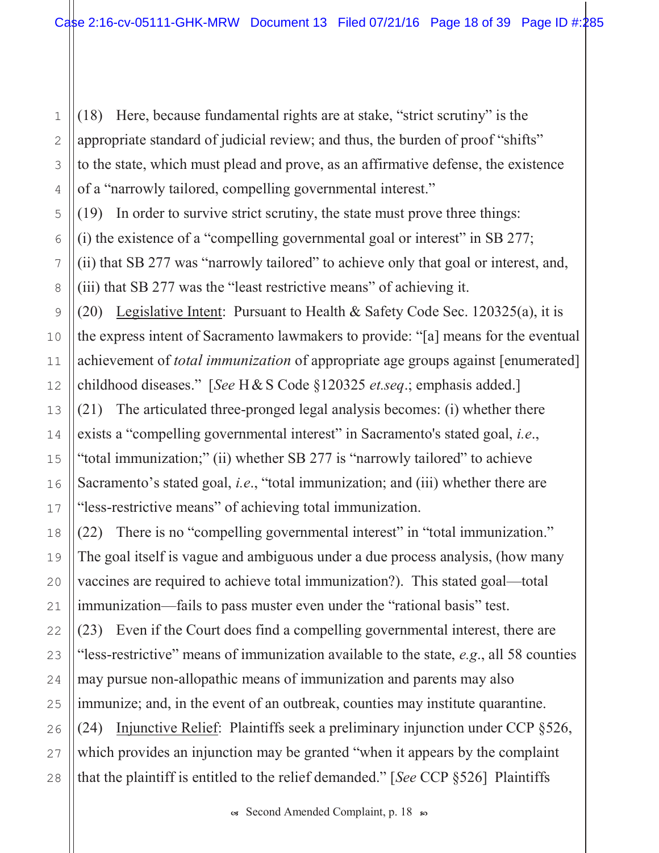(18) Here, because fundamental rights are at stake, "strict scrutiny" is the appropriate standard of judicial review; and thus, the burden of proof "shifts" to the state, which must plead and prove, as an affirmative defense, the existence of a "narrowly tailored, compelling governmental interest."

(19) In order to survive strict scrutiny, the state must prove three things:

(i) the existence of a "compelling governmental goal or interest" in SB 277;

(ii) that SB 277 was "narrowly tailored" to achieve only that goal or interest, and, (iii) that SB 277 was the "least restrictive means" of achieving it.

(20) Legislative Intent: Pursuant to Health & Safety Code Sec.  $120325(a)$ , it is the express intent of Sacramento lawmakers to provide: "[a] means for the eventual achievement of *total immunization* of appropriate age groups against [enumerated] childhood diseases." [See H & S Code  $$120325$  et.seq.; emphasis added.] (21) The articulated three-pronged legal analysis becomes: (i) whether there exists a "compelling governmental interest" in Sacramento's stated goal, *i.e.*, "total immunization;" (ii) whether SB 277 is "narrowly tailored" to achieve Sacramento's stated goal, *i.e.*, "total immunization; and (iii) whether there are "less-restrictive means" of achieving total immunization.

(22) There is no "compelling governmental interest" in "total immunization." The goal itself is vague and ambiguous under a due process analysis, (how many vaccines are required to achieve total immunization?). This stated goal—total immunization—fails to pass muster even under the "rational basis" test.

(23) Even if the Court does find a compelling governmental interest, there are "less-restrictive" means of immunization available to the state, e.g., all 58 counties may pursue non-allopathic means of immunization and parents may also immunize; and, in the event of an outbreak, counties may institute quarantine. (24) Injunctive Relief: Plaintiffs seek a preliminary injunction under CCP  $\S 526$ , which provides an injunction may be granted "when it appears by the complaint" that the plaintiff is entitled to the relief demanded." [See CCP §526] Plaintiffs

 $\mathbf{1}$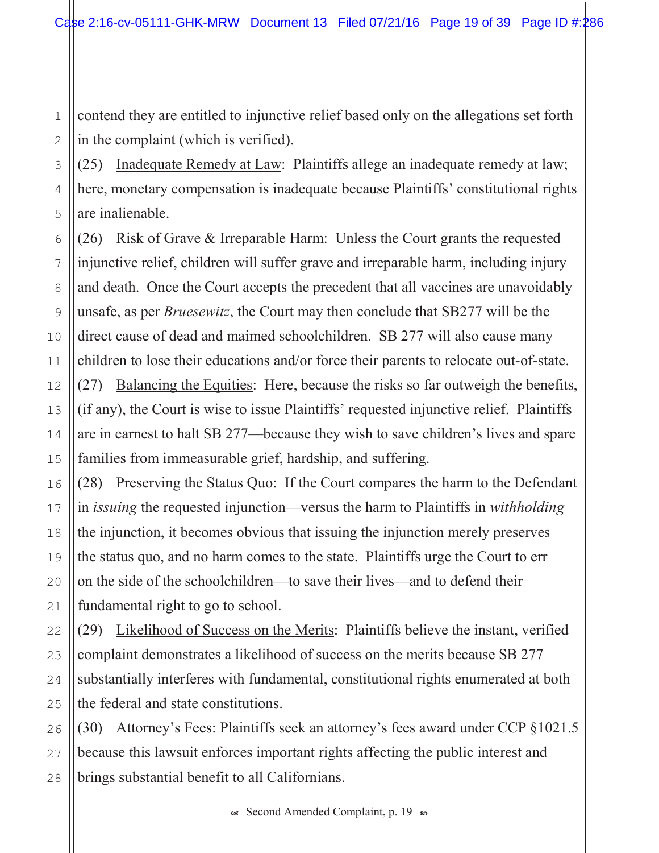contend they are entitled to injunctive relief based only on the allegations set forth in the complaint (which is verified).

 $(25)$  Inadequate Remedy at Law: Plaintiffs allege an inadequate remedy at law; here, monetary compensation is inadequate because Plaintiffs' constitutional rights are inalienable.

(26) Risk of Grave & Irreparable Harm: Unless the Court grants the requested injunctive relief, children will suffer grave and irreparable harm, including injury and death. Once the Court accepts the precedent that all vaccines are unavoidably unsafe, as per *Bruesewitz*, the Court may then conclude that SB277 will be the direct cause of dead and maimed schoolchildren. SB 277 will also cause many children to lose their educations and/or force their parents to relocate out-of-state.  $(27)$  Balancing the Equities: Here, because the risks so far outweigh the benefits, (if any), the Court is wise to issue Plaintiffs' requested injunctive relief. Plaintiffs are in earnest to halt SB 277—because they wish to save children's lives and spare families from immeasurable grief, hardship, and suffering.

(28) Preserving the Status Quo: If the Court compares the harm to the Defendant in *issuing* the requested injunction—versus the harm to Plaintiffs in *withholding* the injunction, it becomes obvious that issuing the injunction merely preserves the status quo, and no harm comes to the state. Plaintiffs urge the Court to err on the side of the schoolchildren—to save their lives—and to defend their fundamental right to go to school.

(29) Likelihood of Success on the Merits: Plaintiffs believe the instant, verified complaint demonstrates a likelihood of success on the merits because SB 277 substantially interferes with fundamental, constitutional rights enumerated at both the federal and state constitutions.

 $(30)$  Attorney's Fees: Plaintiffs seek an attorney's fees award under CCP  $\S 1021.5$ because this lawsuit enforces important rights affecting the public interest and brings substantial benefit to all Californians.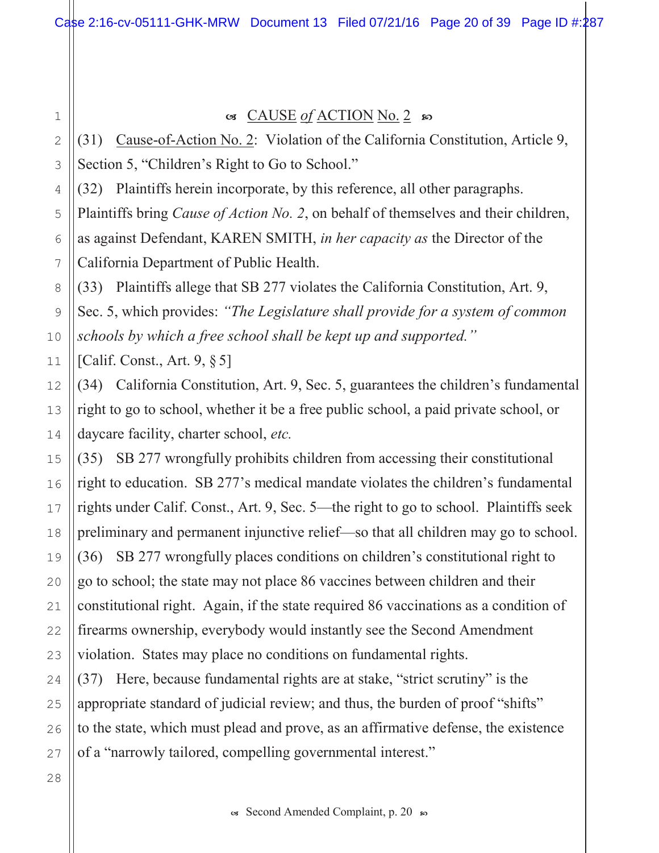1

2

3

4

12

13

14

15

16

17

18

19

20

21

22

23

24

25

26

27

## $\alpha$  CAUSE of ACTION No. 2  $\omega$

(31) Cause-of-Action No. 2: Violation of the California Constitution, Article 9, Section 5, "Children's Right to Go to School."

(32) Plaintiffs herein incorporate, by this reference, all other paragraphs.

5 6 7 Plaintiffs bring *Cause of Action No. 2*, on behalf of themselves and their children, as against Defendant, KAREN SMITH, in her capacity as the Director of the California Department of Public Health.

8 9 10 (33) Plaintiffs allege that SB 277 violates the California Constitution, Art. 9, Sec. 5, which provides: "The Legislature shall provide for a system of common schools by which a free school shall be kept up and supported."

11 [Calif. Const., Art.  $9, § 5$ ]

 $(34)$  California Constitution, Art. 9, Sec. 5, guarantees the children's fundamental right to go to school, whether it be a free public school, a paid private school, or daycare facility, charter school, etc.

 $(35)$  SB 277 wrongfully prohibits children from accessing their constitutional right to education. SB 277's medical mandate violates the children's fundamental rights under Calif. Const., Art. 9, Sec. 5—the right to go to school. Plaintiffs seek preliminary and permanent injunctive relief—so that all children may go to school.  $(36)$  SB 277 wrongfully places conditions on children's constitutional right to go to school; the state may not place 86 vaccines between children and their constitutional right. Again, if the state required 86 vaccinations as a condition of firearms ownership, everybody would instantly see the Second Amendment violation. States may place no conditions on fundamental rights.

 $(37)$  Here, because fundamental rights are at stake, "strict scrutiny" is the appropriate standard of judicial review; and thus, the burden of proof "shifts" to the state, which must plead and prove, as an affirmative defense, the existence of a "narrowly tailored, compelling governmental interest."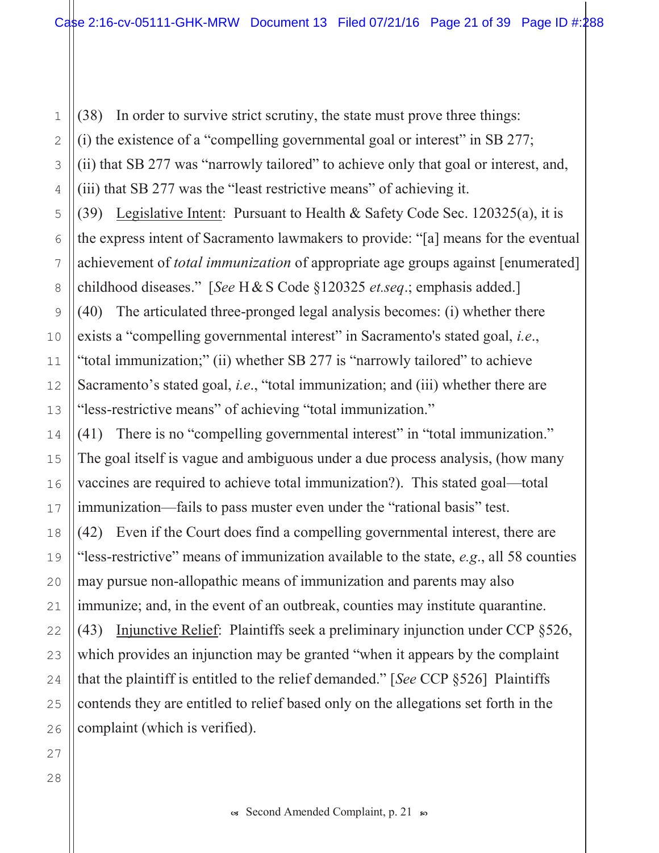(38) In order to survive strict scrutiny, the state must prove three things: (i) the existence of a "compelling governmental goal or interest" in SB 277; (ii) that SB 277 was "narrowly tailored" to achieve only that goal or interest, and, (iii) that SB 277 was the "least restrictive means" of achieving it.

(39) Legislative Intent: Pursuant to Health & Safety Code Sec. 120325(a), it is the express intent of Sacramento lawmakers to provide: "[a] means for the eventual achievement of *total immunization* of appropriate age groups against [enumerated] childhood diseases." [See H & S Code §120325 et.seq.; emphasis added.] (40) The articulated three-pronged legal analysis becomes: (i) whether there exists a "compelling governmental interest" in Sacramento's stated goal, *i.e.*, "total immunization;" (ii) whether SB 277 is "narrowly tailored" to achieve Sacramento's stated goal, *i.e.*, "total immunization; and (iii) whether there are "less-restrictive means" of achieving "total immunization."

(41) There is no "compelling governmental interest" in "total immunization." The goal itself is vague and ambiguous under a due process analysis, (how many vaccines are required to achieve total immunization?). This stated goal—total immunization—fails to pass muster even under the "rational basis" test. (42) Even if the Court does find a compelling governmental interest, there are "less-restrictive" means of immunization available to the state, e.g., all 58 counties may pursue non-allopathic means of immunization and parents may also immunize; and, in the event of an outbreak, counties may institute quarantine. (43) Injunctive Relief: Plaintiffs seek a preliminary injunction under CCP  $\S 526$ , which provides an injunction may be granted "when it appears by the complaint" that the plaintiff is entitled to the relief demanded." [See CCP §526] Plaintiffs contends they are entitled to relief based only on the allegations set forth in the complaint (which is verified).

os Second Amended Complaint, p. 21 so

 $\mathbf{1}$ 

 $\overline{2}$ 

3

4

5

6

7

8

9

10

 $11$ 

 $12$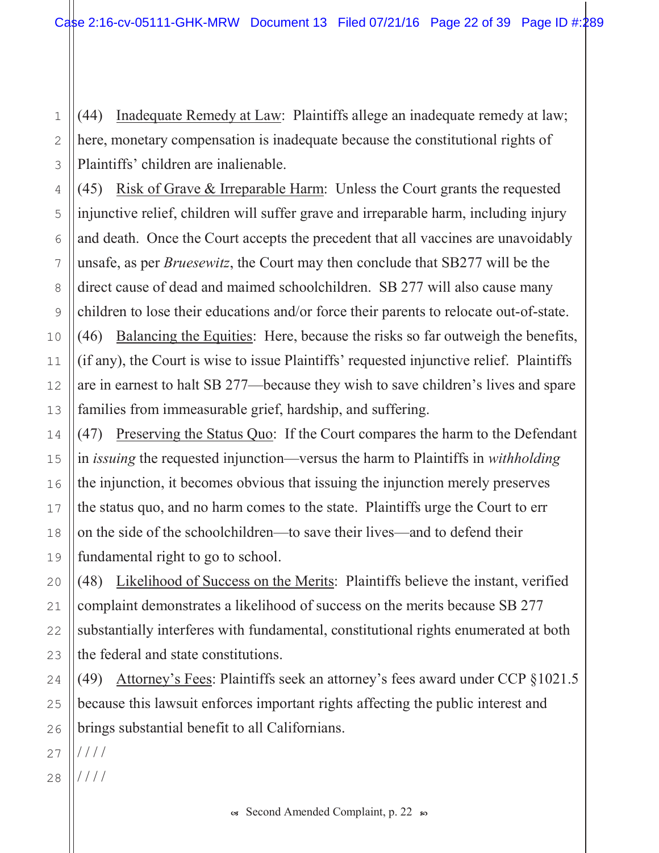(44) Inadequate Remedy at Law: Plaintiffs allege an inadequate remedy at law; here, monetary compensation is inadequate because the constitutional rights of Plaintiffs' children are inalienable.

(45) Risk of Grave  $&$  Irreparable Harm: Unless the Court grants the requested injunctive relief, children will suffer grave and irreparable harm, including injury and death. Once the Court accepts the precedent that all vaccines are unavoidably unsafe, as per *Bruesewitz*, the Court may then conclude that SB277 will be the direct cause of dead and maimed schoolchildren. SB 277 will also cause many children to lose their educations and/or force their parents to relocate out-of-state.  $(46)$  Balancing the Equities: Here, because the risks so far outweigh the benefits, (if any), the Court is wise to issue Plaintiffs' requested injunctive relief. Plaintiffs are in earnest to halt SB 277—because they wish to save children's lives and spare families from immeasurable grief, hardship, and suffering.

(47) Preserving the Status Quo: If the Court compares the harm to the Defendant in *issuing* the requested injunction—versus the harm to Plaintiffs in *withholding* the injunction, it becomes obvious that issuing the injunction merely preserves the status quo, and no harm comes to the state. Plaintiffs urge the Court to err on the side of the schoolchildren—to save their lives—and to defend their fundamental right to go to school.

(48) Likelihood of Success on the Merits: Plaintiffs believe the instant, verified complaint demonstrates a likelihood of success on the merits because SB 277 substantially interferes with fundamental, constitutional rights enumerated at both the federal and state constitutions.

(49) Attorney's Fees: Plaintiffs seek an attorney's fees award under CCP  $\S 1021.5$ because this lawsuit enforces important rights affecting the public interest and brings substantial benefit to all Californians.

27  $1111$ 

1

2

3

4

5

6

7

8

9

10

11

12

13

14

15

16

17

18

19

20

21

22

23

24

25

26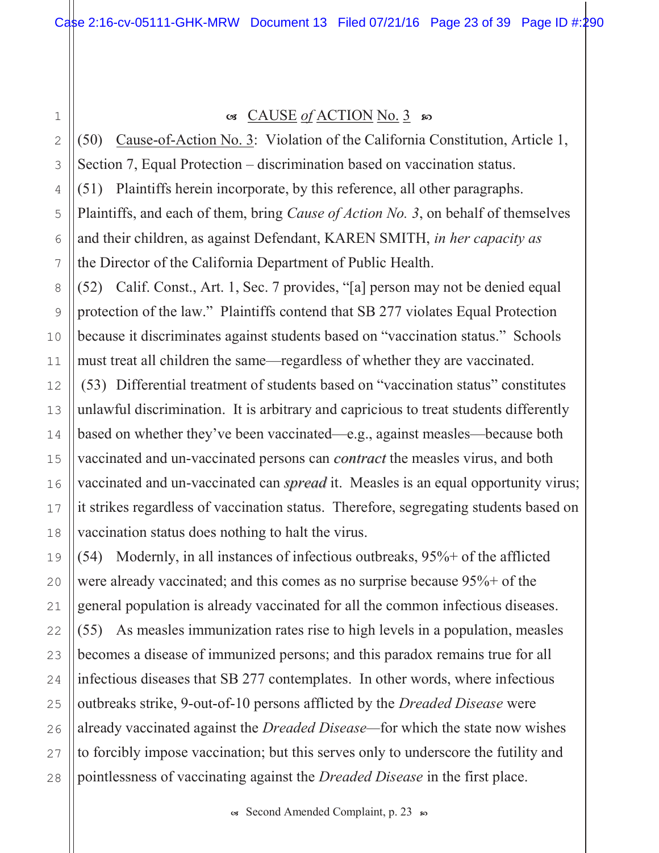1

4

8

9

10

11

12

13

14

15

16

17

18

19

20

21

22

23

24

25

26

27

28

### $\alpha$  CAUSE of ACTION No. 3  $\omega$

2 3 5 6 7 (50) Cause-of-Action No. 3: Violation of the California Constitution, Article 1, Section 7, Equal Protection – discrimination based on vaccination status.  $(51)$  Plaintiffs herein incorporate, by this reference, all other paragraphs. Plaintiffs, and each of them, bring *Cause of Action No.* 3, on behalf of themselves and their children, as against Defendant, KAREN SMITH, in her capacity as the Director of the California Department of Public Health.

 $(52)$  Calif. Const., Art. 1, Sec. 7 provides, "[a] person may not be denied equal protection of the law." Plaintiffs contend that SB 277 violates Equal Protection because it discriminates against students based on "vaccination status." Schools must treat all children the same—regardless of whether they are vaccinated.

(53) Differential treatment of students based on "vaccination status" constitutes unlawful discrimination. It is arbitrary and capricious to treat students differently based on whether they've been vaccinated—e.g., against measles—because both vaccinated and un-vaccinated persons can *contract* the measles virus, and both vaccinated and un-vaccinated can *spread* it. Measles is an equal opportunity virus; it strikes regardless of vaccination status. Therefore, segregating students based on vaccination status does nothing to halt the virus.

 $(54)$  Modernly, in all instances of infectious outbreaks,  $95\%$  + of the afflicted were already vaccinated; and this comes as no surprise because  $95\%$  + of the general population is already vaccinated for all the common infectious diseases.  $(55)$  As measles immunization rates rise to high levels in a population, measles becomes a disease of immunized persons; and this paradox remains true for all infectious diseases that SB 277 contemplates. In other words, where infectious outbreaks strike, 9-out-of-10 persons afflicted by the *Dreaded Disease* were already vaccinated against the *Dreaded Disease*—for which the state now wishes to forcibly impose vaccination; but this serves only to underscore the futility and pointlessness of vaccinating against the *Dreaded Disease* in the first place.

 $\infty$  Second Amended Complaint, p. 23  $\infty$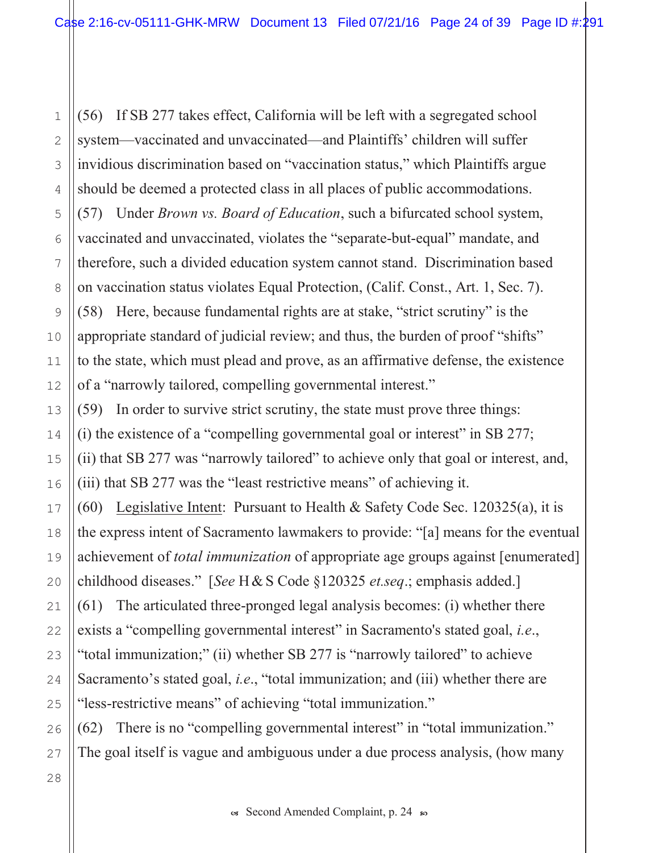(56) If SB 277 takes effect, California will be left with a segregated school  $\mathbf{1}$ system—vaccinated and unvaccinated—and Plaintiffs' children will suffer  $\overline{2}$ invidious discrimination based on "vaccination status," which Plaintiffs argue 3 should be deemed a protected class in all places of public accommodations. 4 (57) Under Brown vs. Board of Education, such a bifurcated school system, 5 vaccinated and unvaccinated, violates the "separate-but-equal" mandate, and 6 therefore, such a divided education system cannot stand. Discrimination based 7 on vaccination status violates Equal Protection, (Calif. Const., Art. 1, Sec. 7). 8 (58) Here, because fundamental rights are at stake, "strict scrutiny" is the 9 appropriate standard of judicial review; and thus, the burden of proof "shifts" 10 to the state, which must plead and prove, as an affirmative defense, the existence  $11$ of a "narrowly tailored, compelling governmental interest."  $12$ (59) In order to survive strict scrutiny, the state must prove three things: 13 (i) the existence of a "compelling governmental goal or interest" in SB 277; 14 (ii) that SB 277 was "narrowly tailored" to achieve only that goal or interest, and, 15 (iii) that SB 277 was the "least restrictive means" of achieving it. 16 (60) Legislative Intent: Pursuant to Health & Safety Code Sec.  $120325(a)$ , it is 17 the express intent of Sacramento lawmakers to provide: "[a] means for the eventual 18 achievement of *total immunization* of appropriate age groups against [enumerated] 19 childhood diseases." [See H & S Code  $\S 120325$  et.seq.; emphasis added.]  $20$ (61) The articulated three-pronged legal analysis becomes: (i) whether there  $21$ exists a "compelling governmental interest" in Sacramento's stated goal, *i.e.*, 22 "total immunization;" (ii) whether SB 277 is "narrowly tailored" to achieve 23 Sacramento's stated goal, *i.e.*, "total immunization; and (iii) whether there are 24 "less-restrictive means" of achieving "total immunization." 25 (62) There is no "compelling governmental interest" in "total immunization." 26

The goal itself is vague and ambiguous under a due process analysis, (how many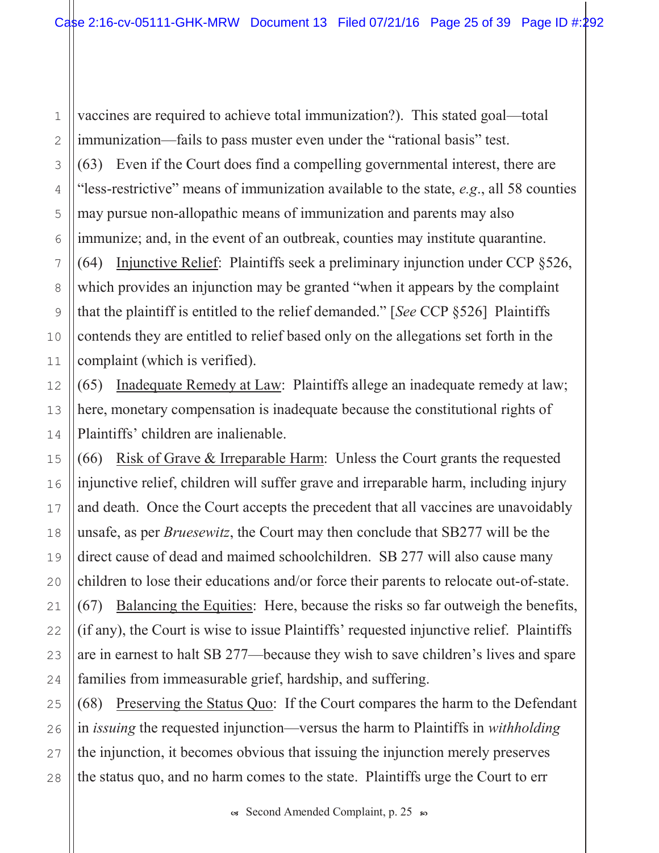vaccines are required to achieve total immunization?). This stated goal—total immunization—fails to pass muster even under the "rational basis" test.  $(63)$  Even if the Court does find a compelling governmental interest, there are "less-restrictive" means of immunization available to the state,  $e.g.,$  all 58 counties may pursue non-allopathic means of immunization and parents may also immunize; and, in the event of an outbreak, counties may institute quarantine. (64) Injunctive Relief: Plaintiffs seek a preliminary injunction under CCP  $\S 526$ , which provides an injunction may be granted "when it appears by the complaint that the plaintiff is entitled to the relief demanded." [See CCP  $\S 526$ ] Plaintiffs contends they are entitled to relief based only on the allegations set forth in the complaint (which is verified).

 $(65)$  Inadequate Remedy at Law: Plaintiffs allege an inadequate remedy at law; here, monetary compensation is inadequate because the constitutional rights of Plaintiffs' children are inalienable.

 $(66)$  Risk of Grave & Irreparable Harm: Unless the Court grants the requested injunctive relief, children will suffer grave and irreparable harm, including injury and death. Once the Court accepts the precedent that all vaccines are unavoidably unsafe, as per *Bruesewitz*, the Court may then conclude that SB277 will be the direct cause of dead and maimed schoolchildren. SB 277 will also cause many children to lose their educations and/or force their parents to relocate out-of-state.  $(67)$  Balancing the Equities: Here, because the risks so far outweigh the benefits, (if any), the Court is wise to issue Plaintiffs' requested injunctive relief. Plaintiffs are in earnest to halt SB 277—because they wish to save children's lives and spare families from immeasurable grief, hardship, and suffering.

 $(68)$  Preserving the Status Quo: If the Court compares the harm to the Defendant in *issuing* the requested injunction—versus the harm to Plaintiffs in *withholding* the injunction, it becomes obvious that issuing the injunction merely preserves the status quo, and no harm comes to the state. Plaintiffs urge the Court to err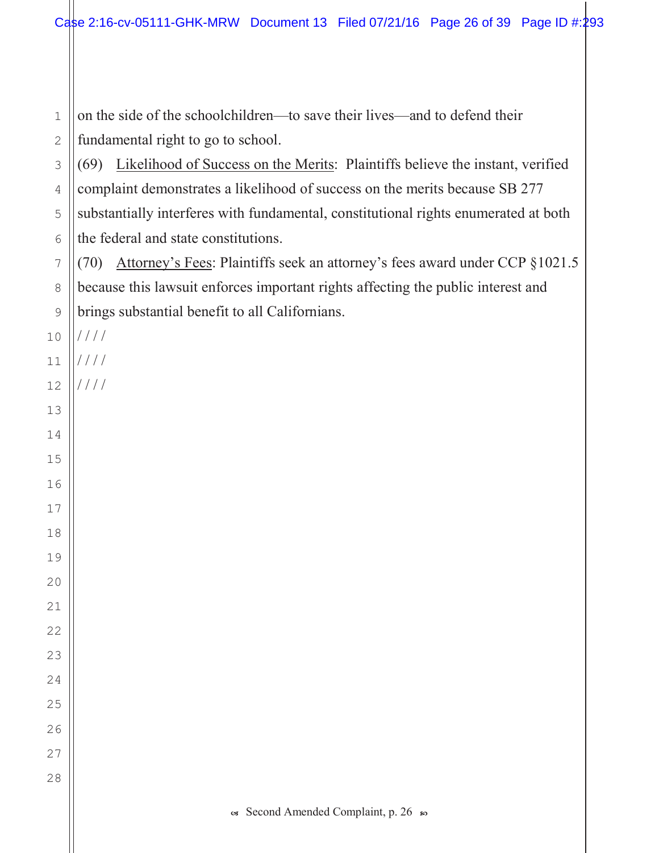on the side of the schoolchildren—to save their lives—and to defend their fundamental right to go to school.

 (69) Likelihood of Success on the Merits: Plaintiffs believe the instant, verified complaint demonstrates a likelihood of success on the merits because SB 277 substantially interferes with fundamental, constitutional rights enumerated at both the federal and state constitutions.

 $(70)$  Attorney's Fees: Plaintiffs seek an attorney's fees award under CCP  $\S 1021.5$ because this lawsuit enforces important rights affecting the public interest and brings substantial benefit to all Californians.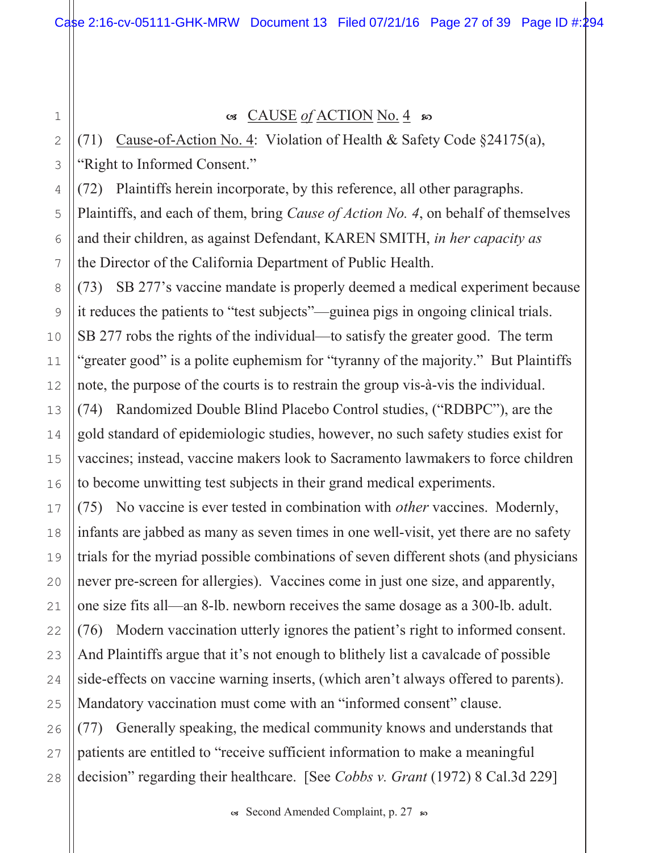$\mathbf 1$  $\overline{2}$ 

3

4

5

6

 $\overline{7}$ 

8

9

10

 $11$ 

 $12$ 

13

 $14$ 

15

16

17

18

19

20

 $21$ 

22

23

24

25

26

 $27$ 

28

### $\circ$  CAUSE of ACTION No. 4  $\circ$

(71) Cause-of-Action No. 4: Violation of Health & Safety Code §24175(a), "Right to Informed Consent."

(72) Plaintiffs herein incorporate, by this reference, all other paragraphs. Plaintiffs, and each of them, bring *Cause of Action No. 4*, on behalf of themselves and their children, as against Defendant, KAREN SMITH, in her capacity as the Director of the California Department of Public Health.

(73) SB 277's vaccine mandate is properly deemed a medical experiment because it reduces the patients to "test subjects"—guinea pigs in ongoing clinical trials. SB 277 robs the rights of the individual—to satisfy the greater good. The term "greater good" is a polite euphemism for "tyranny of the majority." But Plaintiffs note, the purpose of the courts is to restrain the group vis-à-vis the individual. (74) Randomized Double Blind Placebo Control studies, ("RDBPC"), are the gold standard of epidemiologic studies, however, no such safety studies exist for vaccines; instead, vaccine makers look to Sacramento lawmakers to force children to become unwitting test subjects in their grand medical experiments.

(75) No vaccine is ever tested in combination with *other* vaccines. Modernly, infants are jabbed as many as seven times in one well-visit, yet there are no safety trials for the myriad possible combinations of seven different shots (and physicians never pre-screen for allergies). Vaccines come in just one size, and apparently, one size fits all—an 8-lb. newborn receives the same dosage as a 300-lb. adult. (76) Modern vaccination utterly ignores the patient's right to informed consent. And Plaintiffs argue that it's not enough to blithely list a cavalcade of possible side-effects on vaccine warning inserts, (which aren't always offered to parents). Mandatory vaccination must come with an "informed consent" clause. (77) Generally speaking, the medical community knows and understands that patients are entitled to "receive sufficient information to make a meaningful

decision" regarding their healthcare. [See Cobbs v. Grant (1972) 8 Cal.3d 229]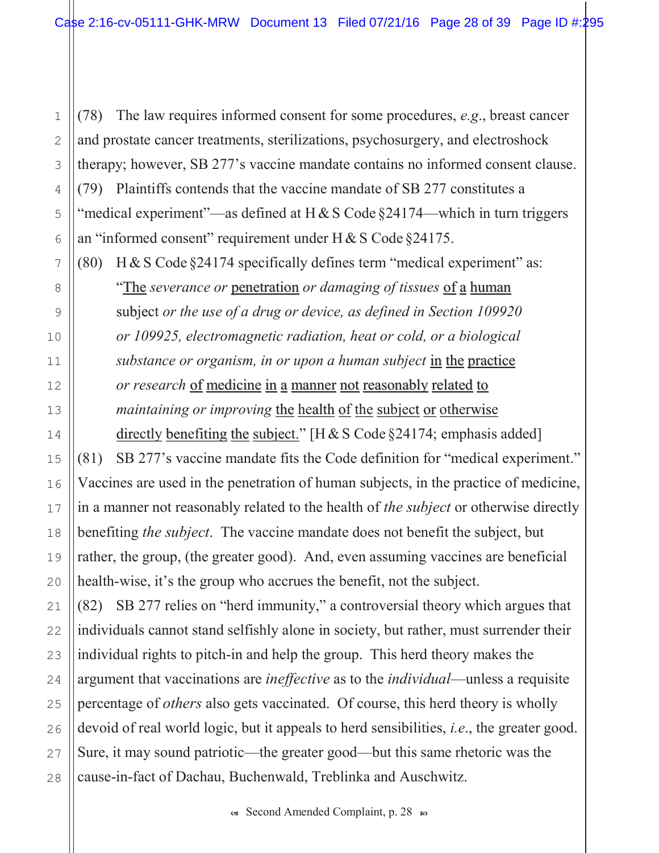(78) The law requires informed consent for some procedures,  $e.g.,$  breast cancer and prostate cancer treatments, sterilizations, psychosurgery, and electroshock therapy; however, SB 277's vaccine mandate contains no informed consent clause.  $(79)$  Plaintiffs contends that the vaccine mandate of SB 277 constitutes a "medical experiment"—as defined at H & S Code  $\S$ 24174—which in turn triggers an "informed consent" requirement under H & S Code  $\S 24175$ .

 $+$  (80) H & S Code §24174 specifically defines term "medical experiment" as:

"The severance or penetration or damaging of tissues of a human subject or the use of a drug or device, as defined in Section 109920 or 109925, electromagnetic radiation, heat or cold, or a biological substance or organism, in or upon a human subject in the practice or research of medicine in a manner not reasonably related to maintaining or improving the health of the subject or otherwise directly benefiting the subject." [H & S Code  $\S$ 24174; emphasis added]

 $(81)$  SB 277's vaccine mandate fits the Code definition for "medical experiment." Vaccines are used in the penetration of human subjects, in the practice of medicine, in a manner not reasonably related to the health of *the subject* or otherwise directly benefiting the subject. The vaccine mandate does not benefit the subject, but rather, the group, (the greater good). And, even assuming vaccines are beneficial health-wise, it's the group who accrues the benefit, not the subject.

 $(82)$  SB 277 relies on "herd immunity," a controversial theory which argues that individuals cannot stand selfishly alone in society, but rather, must surrender their individual rights to pitch-in and help the group. This herd theory makes the argument that vaccinations are *ineffective* as to the *individual*—unless a requisite percentage of *others* also gets vaccinated. Of course, this herd theory is wholly devoid of real world logic, but it appeals to herd sensibilities, *i.e.*, the greater good. Sure, it may sound patriotic—the greater good—but this same rhetoric was the cause-in-fact of Dachau, Buchenwald, Treblinka and Auschwitz.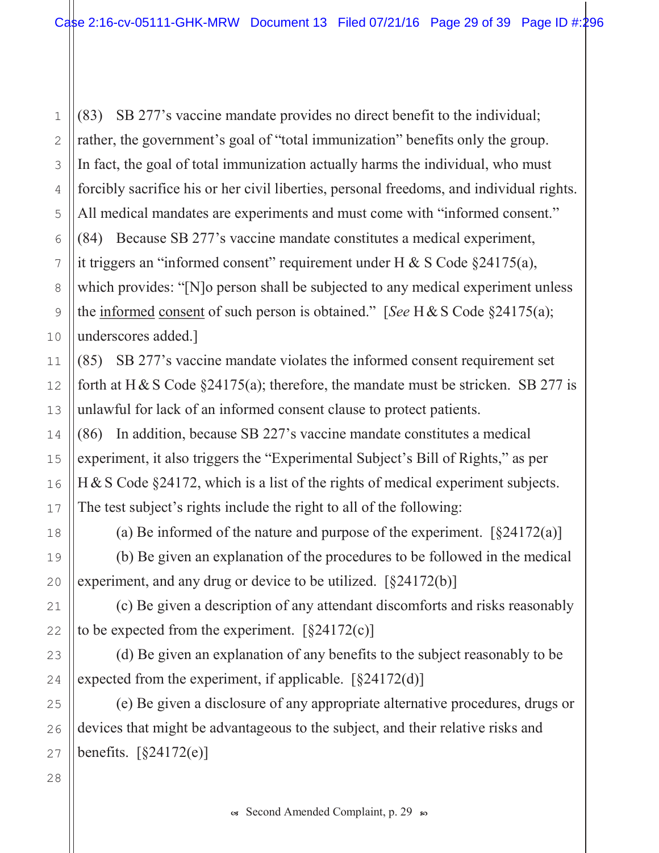(83) SB 277's vaccine mandate provides no direct benefit to the individual; rather, the government's goal of "total immunization" benefits only the group. In fact, the goal of total immunization actually harms the individual, who must forcibly sacrifice his or her civil liberties, personal freedoms, and individual rights. All medical mandates are experiments and must come with "informed consent." 5 (84) Because SB 277's vaccine mandate constitutes a medical experiment, 6 it triggers an "informed consent" requirement under H & S Code  $\S 24175(a)$ , which provides: "[N]o person shall be subjected to any medical experiment unless 8 the informed consent of such person is obtained." [See H & S Code  $\S 24175(a)$ ; underscores added.]

(85) SB 277's vaccine mandate violates the informed consent requirement set forth at H & S Code  $\S$ 24175(a); therefore, the mandate must be stricken. SB 277 is unlawful for lack of an informed consent clause to protect patients.

(86) In addition, because SB 227's vaccine mandate constitutes a medical experiment, it also triggers the "Experimental Subject's Bill of Rights," as per  $H & S$  Code §24172, which is a list of the rights of medical experiment subjects. The test subject's rights include the right to all of the following:

(a) Be informed of the nature and purpose of the experiment.  $\lceil \frac{24172(a)}{a} \rceil$ 

(b) Be given an explanation of the procedures to be followed in the medical experiment, and any drug or device to be utilized.  $\lceil \frac{24172(b)}{b} \rceil$ 

(c) Be given a description of any attendant discomforts and risks reasonably to be expected from the experiment.  $\lceil \frac{24172(c)}{c} \rceil$ 

(d) Be given an explanation of any benefits to the subject reasonably to be expected from the experiment, if applicable.  $\lceil \frac{24172(d)}{d} \rceil$ 

(e) Be given a disclosure of any appropriate alternative procedures, drugs or devices that might be advantageous to the subject, and their relative risks and benefits.  $\lceil \frac{24172(e)}{e} \rceil$ 

 $\mathbf{1}$ 

 $\overline{2}$ 

3

4

7

9

10

 $11$ 

 $12$ 

13

14

15

16

17

18

19

20

 $21$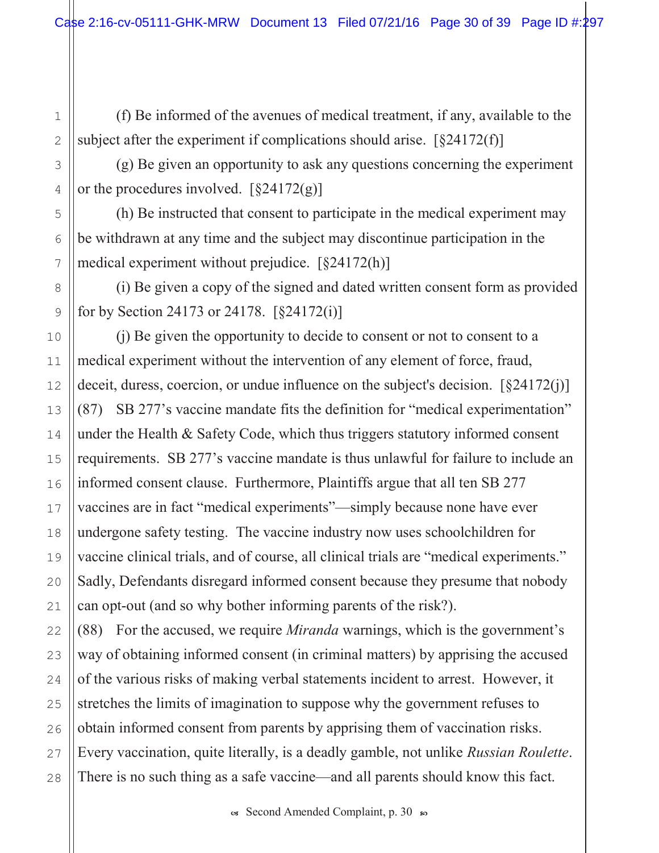$(f)$  Be informed of the avenues of medical treatment, if any, available to the subject after the experiment if complications should arise.  $[§24172(f)]$ 

 $(g)$  Be given an opportunity to ask any questions concerning the experiment or the procedures involved.  $\left[\frac{824172(g)}{g}\right]$ 

(h) Be instructed that consent to participate in the medical experiment may be withdrawn at any time and the subject may discontinue participation in the medical experiment without prejudice.  $\lceil \frac{\delta 24172(h)}{h} \rceil$ 

 $(i)$  Be given a copy of the signed and dated written consent form as provided for by Section 24173 or 24178.  $[§24172(i)]$ 

 $(i)$  Be given the opportunity to decide to consent or not to consent to a medical experiment without the intervention of any element of force, fraud, deceit, duress, coercion, or undue influence on the subject's decision.  $[§24172(j)]$  $(87)$  SB 277's vaccine mandate fits the definition for "medical experimentation" under the Health  $\&$  Safety Code, which thus triggers statutory informed consent requirements. SB 277's vaccine mandate is thus unlawful for failure to include an informed consent clause. Furthermore, Plaintiffs argue that all ten SB 277 vaccines are in fact "medical experiments"—simply because none have ever undergone safety testing. The vaccine industry now uses schoolchildren for vaccine clinical trials, and of course, all clinical trials are "medical experiments." Sadly, Defendants disregard informed consent because they presume that nobody can opt-out (and so why bother informing parents of the risk?).

 $(88)$  For the accused, we require *Miranda* warnings, which is the government's way of obtaining informed consent (in criminal matters) by apprising the accused of the various risks of making verbal statements incident to arrest. However, it stretches the limits of imagination to suppose why the government refuses to obtain informed consent from parents by apprising them of vaccination risks. Every vaccination, quite literally, is a deadly gamble, not unlike Russian Roulette. There is no such thing as a safe vaccine—and all parents should know this fact.

 $\infty$  Second Amended Complaint, p. 30  $\infty$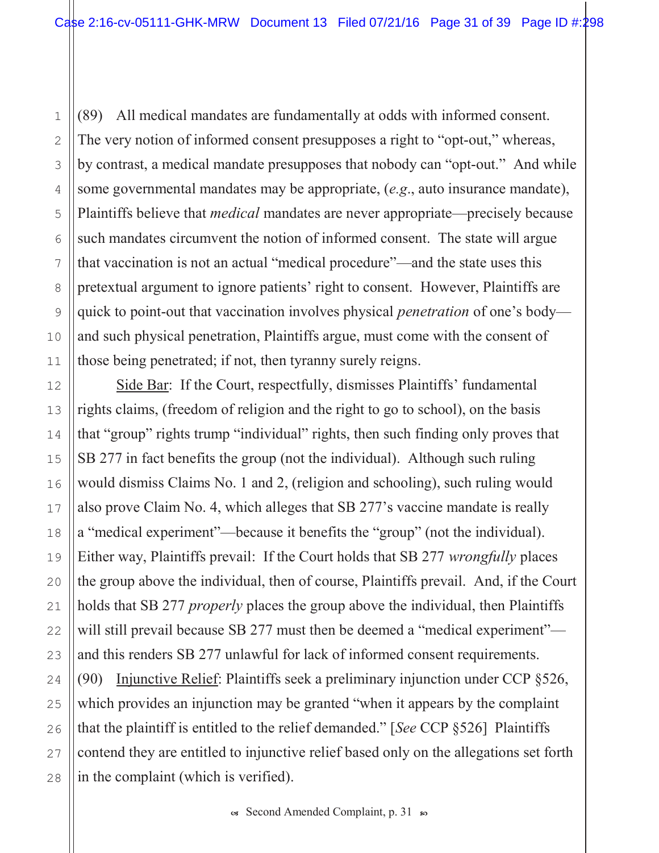$(89)$  All medical mandates are fundamentally at odds with informed consent. The very notion of informed consent presupposes a right to "opt-out," whereas, by contrast, a medical mandate presupposes that nobody can "opt-out." And while some governmental mandates may be appropriate,  $(e.g., auto$  insurance mandate), Plaintiffs believe that *medical* mandates are never appropriate—precisely because such mandates circumvent the notion of informed consent. The state will argue that vaccination is not an actual "medical procedure"—and the state uses this pretextual argument to ignore patients' right to consent. However, Plaintiffs are quick to point-out that vaccination involves physical *penetration* of one's body and such physical penetration, Plaintiffs argue, must come with the consent of those being penetrated; if not, then tyranny surely reigns.

Side Bar: If the Court, respectfully, dismisses Plaintiffs' fundamental rights claims, (freedom of religion and the right to go to school), on the basis that "group" rights trump "individual" rights, then such finding only proves that  $SB$  277 in fact benefits the group (not the individual). Although such ruling would dismiss Claims No. 1 and 2, (religion and schooling), such ruling would also prove Claim No. 4, which alleges that SB 277's vaccine mandate is really a "medical experiment"—because it benefits the "group" (not the individual). Either way, Plaintiffs prevail: If the Court holds that SB 277 *wrongfully* places the group above the individual, then of course, Plaintiffs prevail. And, if the Court holds that SB 277 *properly* places the group above the individual, then Plaintiffs will still prevail because SB 277 must then be deemed a "medical experiment" and this renders SB 277 unlawful for lack of informed consent requirements. (90) Injunctive Relief: Plaintiffs seek a preliminary injunction under CCP  $\S 526$ , which provides an injunction may be granted "when it appears by the complaint that the plaintiff is entitled to the relief demanded." [See CCP  $\S 526$ ] Plaintiffs contend they are entitled to injunctive relief based only on the allegations set forth in the complaint (which is verified).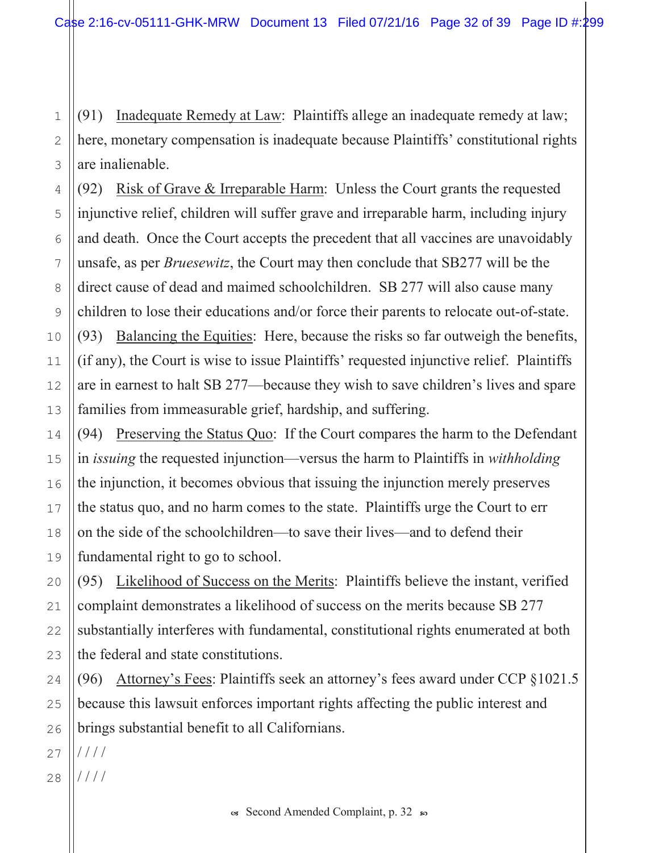2 3  $(91)$  Inadequate Remedy at Law: Plaintiffs allege an inadequate remedy at law; here, monetary compensation is inadequate because Plaintiffs' constitutional rights are inalienable.

(92) Risk of Grave & Irreparable Harm: Unless the Court grants the requested injunctive relief, children will suffer grave and irreparable harm, including injury and death. Once the Court accepts the precedent that all vaccines are unavoidably unsafe, as per *Bruesewitz*, the Court may then conclude that SB277 will be the direct cause of dead and maimed schoolchildren. SB 277 will also cause many children to lose their educations and/or force their parents to relocate out-of-state.  $(93)$  Balancing the Equities: Here, because the risks so far outweigh the benefits, (if any), the Court is wise to issue Plaintiffs' requested injunctive relief. Plaintiffs are in earnest to halt SB 277—because they wish to save children's lives and spare families from immeasurable grief, hardship, and suffering.

(94) Preserving the Status Quo: If the Court compares the harm to the Defendant in *issuing* the requested injunction—versus the harm to Plaintiffs in *withholding* the injunction, it becomes obvious that issuing the injunction merely preserves the status quo, and no harm comes to the state. Plaintiffs urge the Court to err on the side of the schoolchildren—to save their lives—and to defend their fundamental right to go to school.

(95) Likelihood of Success on the Merits: Plaintiffs believe the instant, verified complaint demonstrates a likelihood of success on the merits because SB 277 substantially interferes with fundamental, constitutional rights enumerated at both the federal and state constitutions.

(96) Attorney's Fees: Plaintiffs seek an attorney's fees award under CCP  $\S 1021.5$ because this lawsuit enforces important rights affecting the public interest and brings substantial benefit to all Californians.

27  $1111$ 

1

4

5

6

7

8

9

10

11

12

13

14

15

16

17

18

19

20

21

22

23

24

25

26

28  $1111$ 

 $\infty$  Second Amended Complaint, p. 32  $\infty$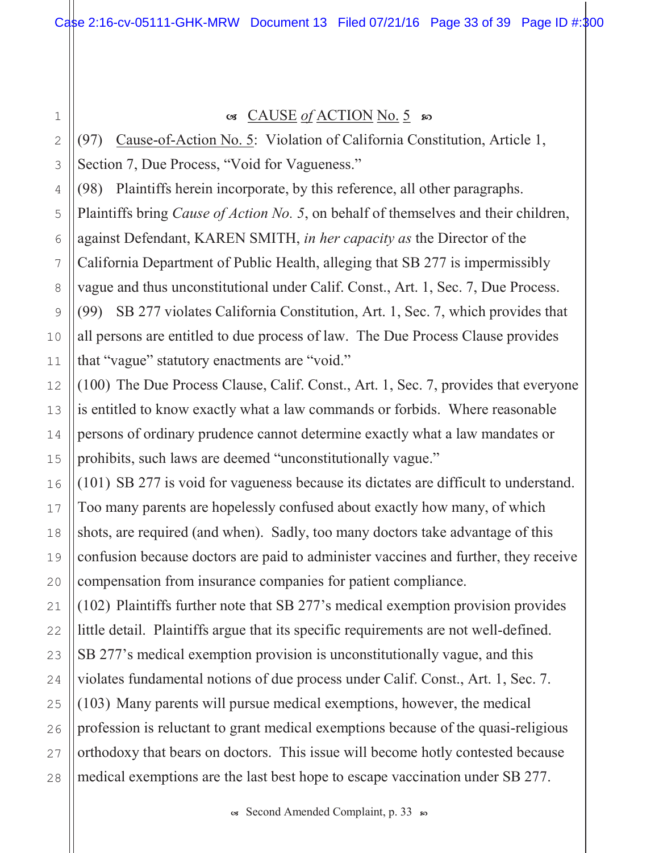1

2

3

4

5

6

8

9

10

11

12

13

14

15

16

17

18

19

20

#### $\alpha$  CAUSE of ACTION No. 5  $\omega$

(97) Cause-of-Action No. 5: Violation of California Constitution, Article 1, Section 7, Due Process, "Void for Vagueness."

(98) Plaintiffs herein incorporate, by this reference, all other paragraphs.

Plaintiffs bring *Cause of Action No.* 5, on behalf of themselves and their children,

against Defendant, KAREN SMITH, in her capacity as the Director of the

7 California Department of Public Health, alleging that SB 277 is impermissibly

vague and thus unconstitutional under Calif. Const., Art. 1, Sec. 7, Due Process.

(99) SB 277 violates California Constitution, Art. 1, Sec. 7, which provides that all persons are entitled to due process of law. The Due Process Clause provides that "vague" statutory enactments are "void."

 $(100)$  The Due Process Clause, Calif. Const., Art. 1, Sec. 7, provides that everyone is entitled to know exactly what a law commands or forbids. Where reasonable persons of ordinary prudence cannot determine exactly what a law mandates or prohibits, such laws are deemed "unconstitutionally vague."

 $(101)$  SB 277 is void for vagueness because its dictates are difficult to understand. Too many parents are hopelessly confused about exactly how many, of which shots, are required (and when). Sadly, too many doctors take advantage of this confusion because doctors are paid to administer vaccines and further, they receive compensation from insurance companies for patient compliance.

21 22 23 24 25 26 27 28  $(102)$  Plaintiffs further note that SB 277's medical exemption provision provides little detail. Plaintiffs argue that its specific requirements are not well-defined. SB 277's medical exemption provision is unconstitutionally vague, and this violates fundamental notions of due process under Calif. Const., Art. 1, Sec. 7.  $(103)$  Many parents will pursue medical exemptions, however, the medical profession is reluctant to grant medical exemptions because of the quasi-religious orthodoxy that bears on doctors. This issue will become hotly contested because medical exemptions are the last best hope to escape vaccination under SB 277.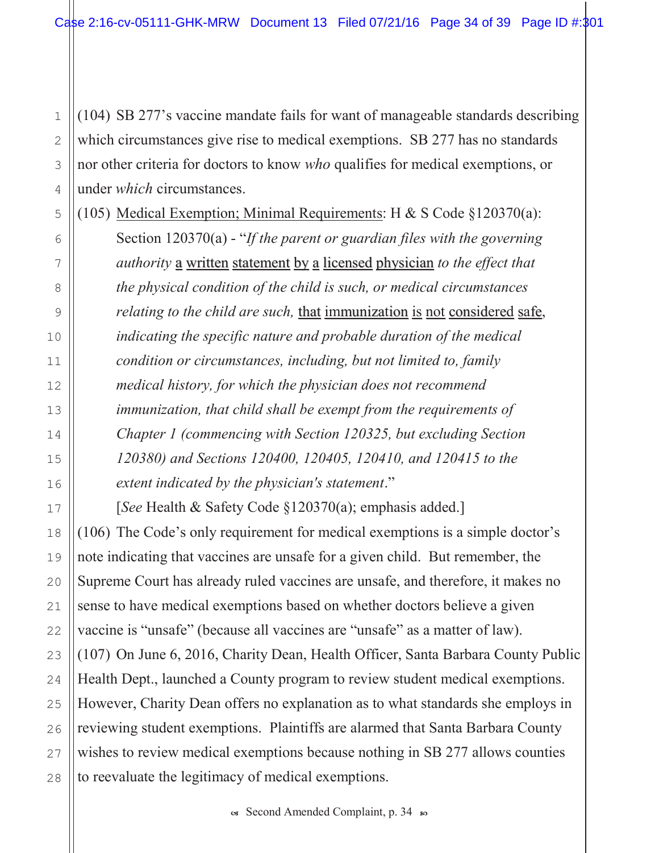$(104)$  SB 277's vaccine mandate fails for want of manageable standards describing which circumstances give rise to medical exemptions. SB 277 has no standards nor other criteria for doctors to know who qualifies for medical exemptions, or under *which* circumstances.

(105) Medical Exemption; Minimal Requirements: H & S Code §120370(a): Section  $120370(a)$  - "If the parent or guardian files with the governing authority a written statement by a licensed physician to the effect that the physical condition of the child is such, or medical circumstances relating to the child are such, that immunization is not considered safe, indicating the specific nature and probable duration of the medical condition or circumstances, including, but not limited to, family medical history, for which the physician does not recommend immunization, that child shall be exempt from the requirements of Chapter 1 (commencing with Section 120325, but excluding Section 120380) and Sections 120400, 120405, 120410, and 120415 to the extent indicated by the physician's statement."

[See Health & Safety Code  $\S 120370(a)$ ; emphasis added.]  $(106)$  The Code's only requirement for medical exemptions is a simple doctor's note indicating that vaccines are unsafe for a given child. But remember, the Supreme Court has already ruled vaccines are unsafe, and therefore, it makes no sense to have medical exemptions based on whether doctors believe a given vaccine is "unsafe" (because all vaccines are "unsafe" as a matter of law).  $(107)$  On June 6, 2016, Charity Dean, Health Officer, Santa Barbara County Public Health Dept., launched a County program to review student medical exemptions. However, Charity Dean offers no explanation as to what standards she employs in reviewing student exemptions. Plaintiffs are alarmed that Santa Barbara County wishes to review medical exemptions because nothing in SB 277 allows counties to reevaluate the legitimacy of medical exemptions.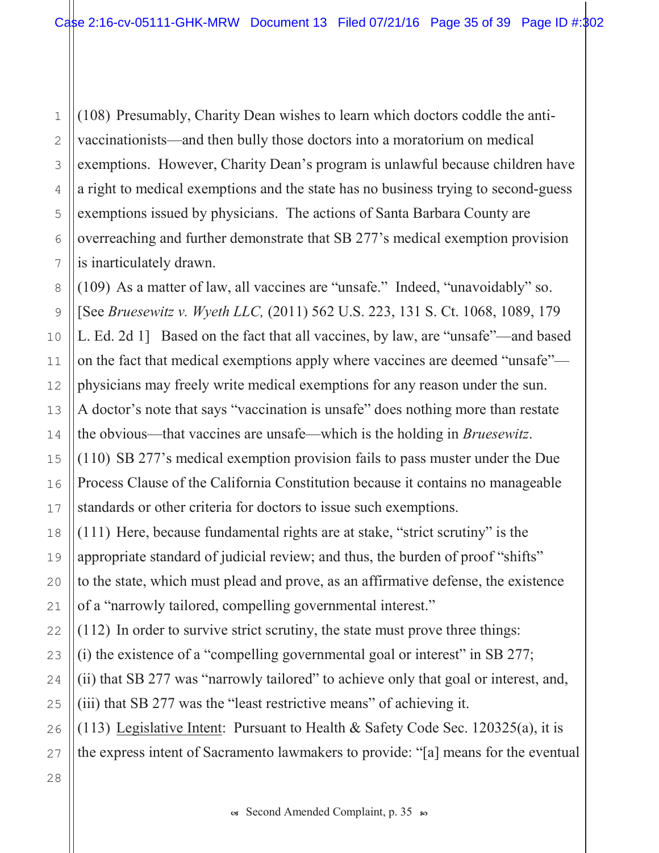5 6 (108) Presumably, Charity Dean wishes to learn which doctors coddle the antivaccinationists—and then bully those doctors into a moratorium on medical exemptions. However, Charity Dean's program is unlawful because children have a right to medical exemptions and the state has no business trying to second-guess exemptions issued by physicians. The actions of Santa Barbara County are overreaching and further demonstrate that SB 277's medical exemption provision is inarticulately drawn.

8 9 10 11 12 13 14 15 16 18 19 20  $(109)$  As a matter of law, all vaccines are "unsafe." Indeed, "unavoidably" so. [See Bruesewitz v. Wyeth LLC, (2011) 562 U.S. 223, 131 S. Ct. 1068, 1089, 179 L. Ed. 2d 1] Based on the fact that all vaccines, by law, are "unsafe"—and based on the fact that medical exemptions apply where vaccines are deemed "unsafe" physicians may freely write medical exemptions for any reason under the sun. A doctor's note that says "vaccination is unsafe" does nothing more than restate the obvious—that vaccines are unsafe—which is the holding in *Bruesewitz*.  $(110)$  SB 277's medical exemption provision fails to pass muster under the Due Process Clause of the California Constitution because it contains no manageable standards or other criteria for doctors to issue such exemptions.  $(111)$  Here, because fundamental rights are at stake, "strict scrutiny" is the appropriate standard of judicial review; and thus, the burden of proof "shifts" to the state, which must plead and prove, as an affirmative defense, the existence

of a "narrowly tailored, compelling governmental interest."

 $(112)$  In order to survive strict scrutiny, the state must prove three things:

(i) the existence of a "compelling governmental goal or interest" in SB 277;

(ii) that SB 277 was "narrowly tailored" to achieve only that goal or interest, and,

(iii) that SB 277 was the "least restrictive means" of achieving it.

(113) Legislative Intent: Pursuant to Health & Safety Code Sec.  $120325(a)$ , it is

the express intent of Sacramento lawmakers to provide: "[a] means for the eventual

17

21

1

2

3

4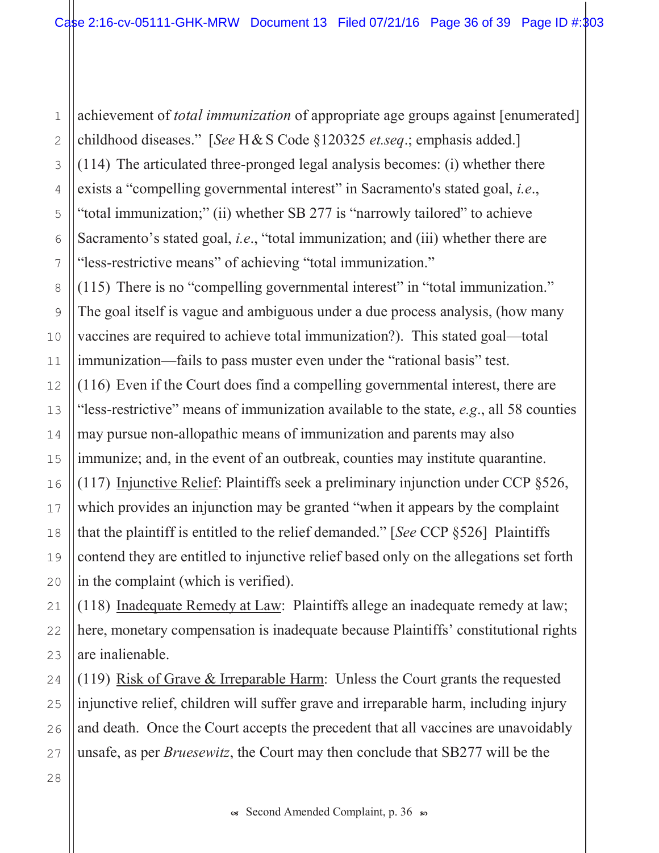achievement of *total immunization* of appropriate age groups against [enumerated] childhood diseases." [See H & S Code  $§120325$  et.seq.; emphasis added.]  $(114)$  The articulated three-pronged legal analysis becomes: (i) whether there exists a "compelling governmental interest" in Sacramento's stated goal, i.e., "total immunization;" (ii) whether SB 277 is "narrowly tailored" to achieve Sacramento's stated goal, *i.e.*, "total immunization; and (iii) whether there are "less-restrictive means" of achieving "total immunization."

 $(115)$  There is no "compelling governmental interest" in "total immunization." The goal itself is vague and ambiguous under a due process analysis, (how many vaccines are required to achieve total immunization?). This stated goal—total immunization—fails to pass muster even under the "rational basis" test.  $(116)$  Even if the Court does find a compelling governmental interest, there are "less-restrictive" means of immunization available to the state,  $e.g.,$  all 58 counties may pursue non-allopathic means of immunization and parents may also immunize; and, in the event of an outbreak, counties may institute quarantine. (117) Injunctive Relief: Plaintiffs seek a preliminary injunction under CCP  $\S 526$ , which provides an injunction may be granted "when it appears by the complaint that the plaintiff is entitled to the relief demanded." [See CCP  $\S 526$ ] Plaintiffs contend they are entitled to injunctive relief based only on the allegations set forth in the complaint (which is verified).

(118) Inadequate Remedy at Law: Plaintiffs allege an inadequate remedy at law; here, monetary compensation is inadequate because Plaintiffs' constitutional rights are inalienable.

(119) Risk of Grave & Irreparable Harm: Unless the Court grants the requested injunctive relief, children will suffer grave and irreparable harm, including injury and death. Once the Court accepts the precedent that all vaccines are unavoidably unsafe, as per *Bruesewitz*, the Court may then conclude that SB277 will be the

os Second Amended Complaint, p. 36 s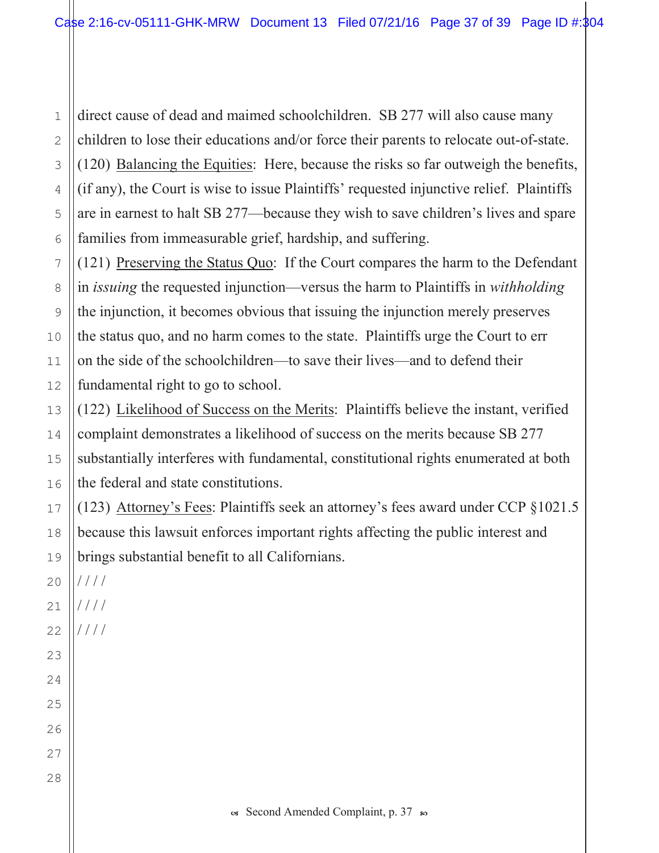direct cause of dead and maimed schoolchildren. SB 277 will also cause many children to lose their educations and/or force their parents to relocate out-of-state.  $\overline{2}$ (120) Balancing the Equities: Here, because the risks so far outweigh the benefits, 3 (if any), the Court is wise to issue Plaintiffs' requested injunctive relief. Plaintiffs 4 are in earnest to halt SB 277—because they wish to save children's lives and spare 5 families from immeasurable grief, hardship, and suffering. 6

(121) Preserving the Status Quo: If the Court compares the harm to the Defendant in *issuing* the requested injunction—versus the harm to Plaintiffs in *withholding* the injunction, it becomes obvious that issuing the injunction merely preserves the status quo, and no harm comes to the state. Plaintiffs urge the Court to err on the side of the schoolchildren—to save their lives—and to defend their fundamental right to go to school.

(122) Likelihood of Success on the Merits: Plaintiffs believe the instant, verified complaint demonstrates a likelihood of success on the merits because SB 277 substantially interferes with fundamental, constitutional rights enumerated at both the federal and state constitutions.

(123) Attorney's Fees: Plaintiffs seek an attorney's fees award under CCP §1021.5 because this lawsuit enforces important rights affecting the public interest and brings substantial benefit to all Californians.

 $1111$  $20$ 

 $\mathbf{1}$ 

 $7$ 

8

9

10

 $11$ 

 $12$ 

13

14

15

16

17

18

19

 $21$ 

23

24

25

26

27

28

 $1111$ 22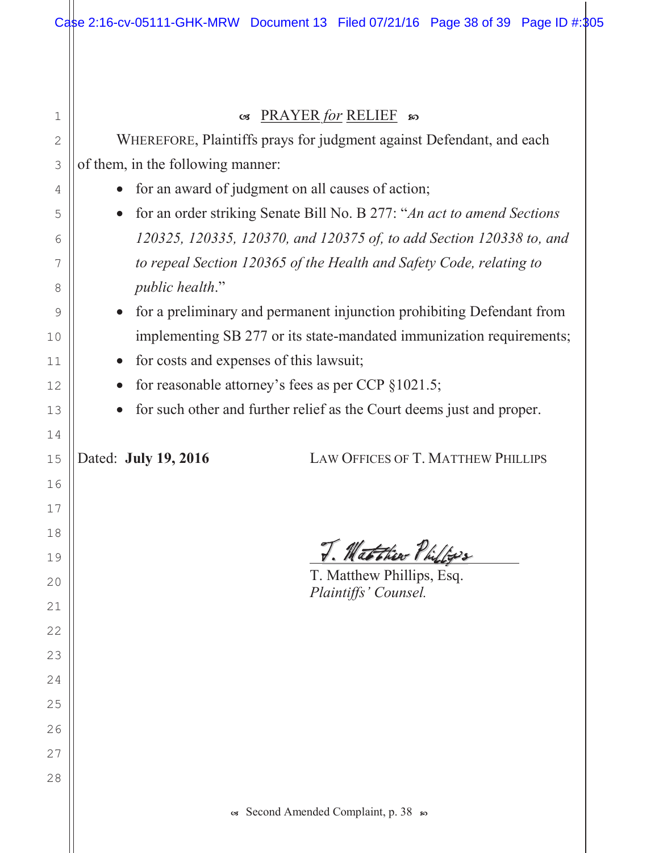| 1              | PRAYER for RELIEF so<br>$\mathcal{C}$                                   |  |  |  |  |
|----------------|-------------------------------------------------------------------------|--|--|--|--|
| $\overline{2}$ | WHEREFORE, Plaintiffs prays for judgment against Defendant, and each    |  |  |  |  |
| 3              | of them, in the following manner:                                       |  |  |  |  |
| 4              | for an award of judgment on all causes of action;                       |  |  |  |  |
| 5              | for an order striking Senate Bill No. B 277: "An act to amend Sections" |  |  |  |  |
| 6              | 120325, 120335, 120370, and 120375 of, to add Section 120338 to, and    |  |  |  |  |
| 7              | to repeal Section 120365 of the Health and Safety Code, relating to     |  |  |  |  |
| 8              | <i>public health.</i> "                                                 |  |  |  |  |
| 9              | for a preliminary and permanent injunction prohibiting Defendant from   |  |  |  |  |
| 10             | implementing SB 277 or its state-mandated immunization requirements;    |  |  |  |  |
| 11             | for costs and expenses of this lawsuit;<br>$\bullet$                    |  |  |  |  |
| 12             | for reasonable attorney's fees as per CCP $\S 1021.5$ ;                 |  |  |  |  |
| 13             | for such other and further relief as the Court deems just and proper.   |  |  |  |  |
| 14             |                                                                         |  |  |  |  |
| 15             | Dated: July 19, 2016<br><b>LAW OFFICES OF T. MATTHEW PHILLIPS</b>       |  |  |  |  |
| 16             |                                                                         |  |  |  |  |
| 17             |                                                                         |  |  |  |  |
| 18             |                                                                         |  |  |  |  |
| 19             | Matthew Philips                                                         |  |  |  |  |
| 20             | T. Matthew Phillips, Esq.<br>Plaintiffs' Counsel.                       |  |  |  |  |
| 21             |                                                                         |  |  |  |  |
| 22             |                                                                         |  |  |  |  |
| 23             |                                                                         |  |  |  |  |
| 24             |                                                                         |  |  |  |  |
| 25             |                                                                         |  |  |  |  |
| 26             |                                                                         |  |  |  |  |
| 27             |                                                                         |  |  |  |  |
| 28             |                                                                         |  |  |  |  |
|                |                                                                         |  |  |  |  |